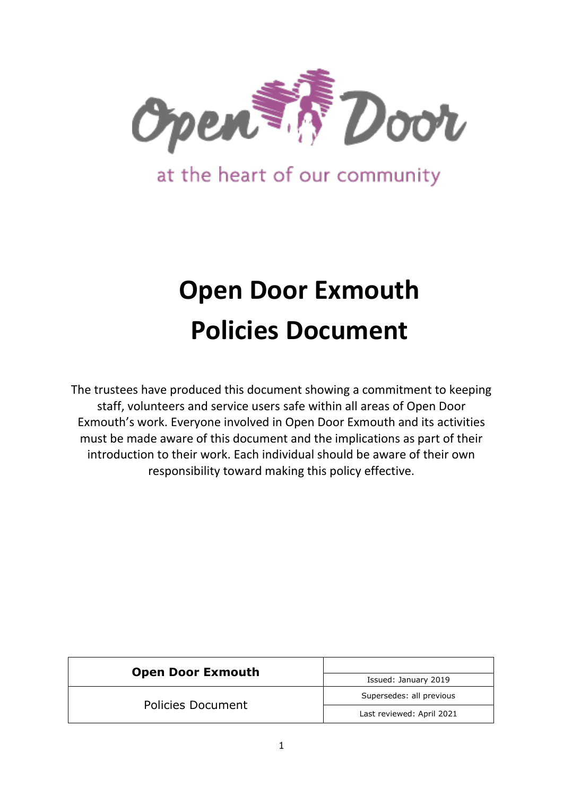

at the heart of our community

# **Open Door Exmouth Policies Document**

The trustees have produced this document showing a commitment to keeping staff, volunteers and service users safe within all areas of Open Door Exmouth's work. Everyone involved in Open Door Exmouth and its activities must be made aware of this document and the implications as part of their introduction to their work. Each individual should be aware of their own responsibility toward making this policy effective.

| <b>Open Door Exmouth</b> |                           |  |
|--------------------------|---------------------------|--|
|                          | Issued: January 2019      |  |
| <b>Policies Document</b> | Supersedes: all previous  |  |
|                          | Last reviewed: April 2021 |  |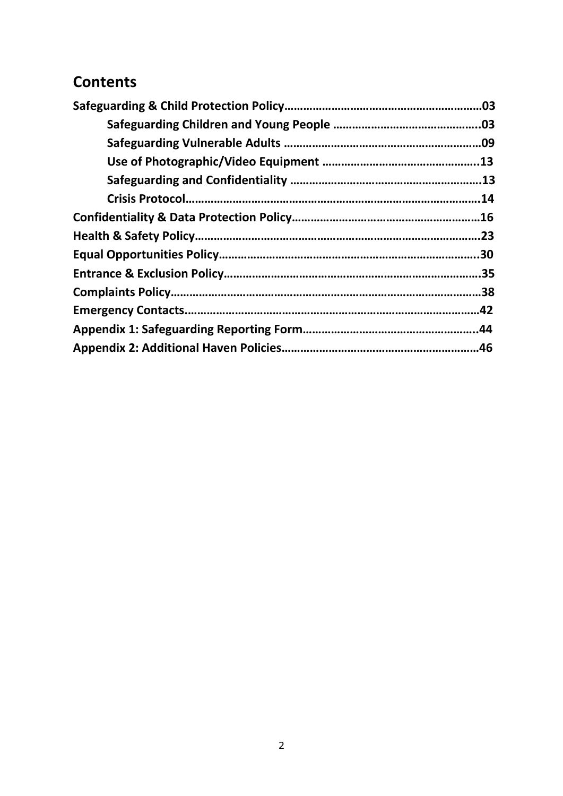# **Contents**

| .03 |
|-----|
|     |
|     |
| .13 |
|     |
| .14 |
|     |
|     |
| .30 |
|     |
|     |
|     |
|     |
|     |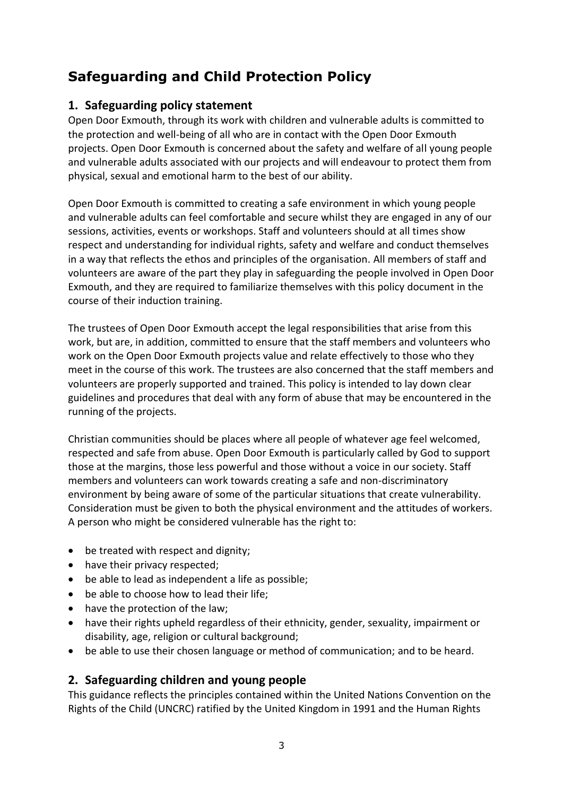# **Safeguarding and Child Protection Policy**

# **1. Safeguarding policy statement**

Open Door Exmouth, through its work with children and vulnerable adults is committed to the protection and well-being of all who are in contact with the Open Door Exmouth projects. Open Door Exmouth is concerned about the safety and welfare of all young people and vulnerable adults associated with our projects and will endeavour to protect them from physical, sexual and emotional harm to the best of our ability.

Open Door Exmouth is committed to creating a safe environment in which young people and vulnerable adults can feel comfortable and secure whilst they are engaged in any of our sessions, activities, events or workshops. Staff and volunteers should at all times show respect and understanding for individual rights, safety and welfare and conduct themselves in a way that reflects the ethos and principles of the organisation. All members of staff and volunteers are aware of the part they play in safeguarding the people involved in Open Door Exmouth, and they are required to familiarize themselves with this policy document in the course of their induction training.

The trustees of Open Door Exmouth accept the legal responsibilities that arise from this work, but are, in addition, committed to ensure that the staff members and volunteers who work on the Open Door Exmouth projects value and relate effectively to those who they meet in the course of this work. The trustees are also concerned that the staff members and volunteers are properly supported and trained. This policy is intended to lay down clear guidelines and procedures that deal with any form of abuse that may be encountered in the running of the projects.

Christian communities should be places where all people of whatever age feel welcomed, respected and safe from abuse. Open Door Exmouth is particularly called by God to support those at the margins, those less powerful and those without a voice in our society. Staff members and volunteers can work towards creating a safe and non-discriminatory environment by being aware of some of the particular situations that create vulnerability. Consideration must be given to both the physical environment and the attitudes of workers. A person who might be considered vulnerable has the right to:

- be treated with respect and dignity;
- have their privacy respected;
- be able to lead as independent a life as possible;
- be able to choose how to lead their life;
- have the protection of the law;
- have their rights upheld regardless of their ethnicity, gender, sexuality, impairment or disability, age, religion or cultural background;
- be able to use their chosen language or method of communication; and to be heard.

# **2. Safeguarding children and young people**

This guidance reflects the principles contained within the United Nations Convention on the Rights of the Child (UNCRC) ratified by the United Kingdom in 1991 and the Human Rights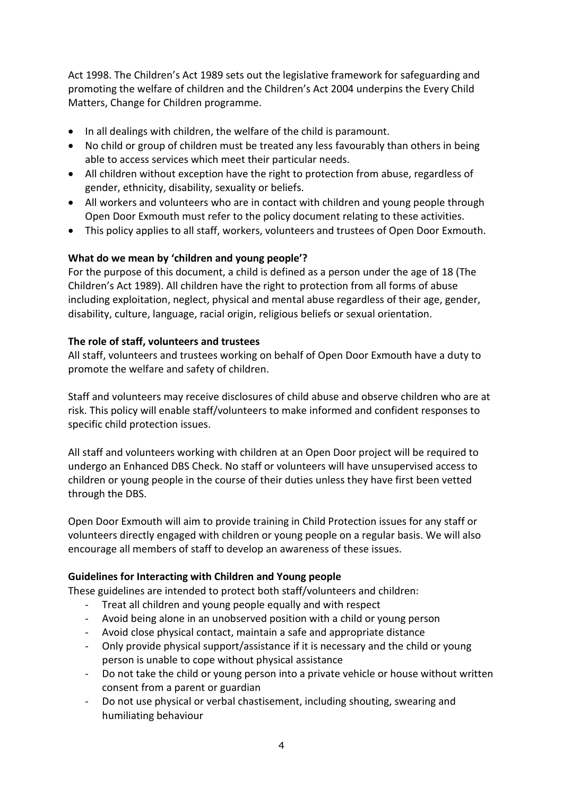Act 1998. The Children's Act 1989 sets out the legislative framework for safeguarding and promoting the welfare of children and the Children's Act 2004 underpins the Every Child Matters, Change for Children programme.

- In all dealings with children, the welfare of the child is paramount.
- No child or group of children must be treated any less favourably than others in being able to access services which meet their particular needs.
- All children without exception have the right to protection from abuse, regardless of gender, ethnicity, disability, sexuality or beliefs.
- All workers and volunteers who are in contact with children and young people through Open Door Exmouth must refer to the policy document relating to these activities.
- This policy applies to all staff, workers, volunteers and trustees of Open Door Exmouth.

### **What do we mean by 'children and young people'?**

For the purpose of this document, a child is defined as a person under the age of 18 (The Children's Act 1989). All children have the right to protection from all forms of abuse including exploitation, neglect, physical and mental abuse regardless of their age, gender, disability, culture, language, racial origin, religious beliefs or sexual orientation.

### **The role of staff, volunteers and trustees**

All staff, volunteers and trustees working on behalf of Open Door Exmouth have a duty to promote the welfare and safety of children.

Staff and volunteers may receive disclosures of child abuse and observe children who are at risk. This policy will enable staff/volunteers to make informed and confident responses to specific child protection issues.

All staff and volunteers working with children at an Open Door project will be required to undergo an Enhanced DBS Check. No staff or volunteers will have unsupervised access to children or young people in the course of their duties unless they have first been vetted through the DBS.

Open Door Exmouth will aim to provide training in Child Protection issues for any staff or volunteers directly engaged with children or young people on a regular basis. We will also encourage all members of staff to develop an awareness of these issues.

### **Guidelines for Interacting with Children and Young people**

These guidelines are intended to protect both staff/volunteers and children:

- Treat all children and young people equally and with respect
- Avoid being alone in an unobserved position with a child or young person
- Avoid close physical contact, maintain a safe and appropriate distance
- Only provide physical support/assistance if it is necessary and the child or young person is unable to cope without physical assistance
- Do not take the child or young person into a private vehicle or house without written consent from a parent or guardian
- Do not use physical or verbal chastisement, including shouting, swearing and humiliating behaviour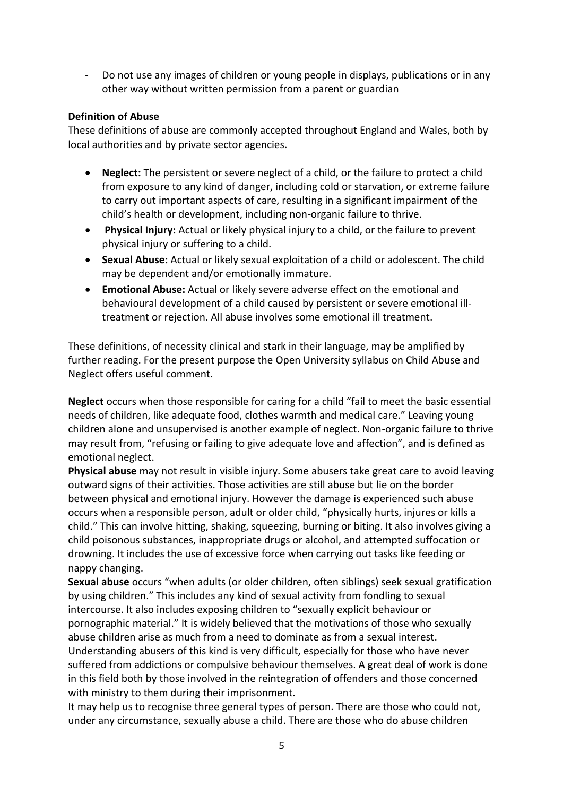- Do not use any images of children or young people in displays, publications or in any other way without written permission from a parent or guardian

### **Definition of Abuse**

These definitions of abuse are commonly accepted throughout England and Wales, both by local authorities and by private sector agencies.

- **Neglect:** The persistent or severe neglect of a child, or the failure to protect a child from exposure to any kind of danger, including cold or starvation, or extreme failure to carry out important aspects of care, resulting in a significant impairment of the child's health or development, including non-organic failure to thrive.
- **Physical Injury:** Actual or likely physical injury to a child, or the failure to prevent physical injury or suffering to a child.
- **Sexual Abuse:** Actual or likely sexual exploitation of a child or adolescent. The child may be dependent and/or emotionally immature.
- **Emotional Abuse:** Actual or likely severe adverse effect on the emotional and behavioural development of a child caused by persistent or severe emotional illtreatment or rejection. All abuse involves some emotional ill treatment.

These definitions, of necessity clinical and stark in their language, may be amplified by further reading. For the present purpose the Open University syllabus on Child Abuse and Neglect offers useful comment.

**Neglect** occurs when those responsible for caring for a child "fail to meet the basic essential needs of children, like adequate food, clothes warmth and medical care." Leaving young children alone and unsupervised is another example of neglect. Non-organic failure to thrive may result from, "refusing or failing to give adequate love and affection", and is defined as emotional neglect.

**Physical abuse** may not result in visible injury. Some abusers take great care to avoid leaving outward signs of their activities. Those activities are still abuse but lie on the border between physical and emotional injury. However the damage is experienced such abuse occurs when a responsible person, adult or older child, "physically hurts, injures or kills a child." This can involve hitting, shaking, squeezing, burning or biting. It also involves giving a child poisonous substances, inappropriate drugs or alcohol, and attempted suffocation or drowning. It includes the use of excessive force when carrying out tasks like feeding or nappy changing.

**Sexual abuse** occurs "when adults (or older children, often siblings) seek sexual gratification by using children." This includes any kind of sexual activity from fondling to sexual intercourse. It also includes exposing children to "sexually explicit behaviour or pornographic material." It is widely believed that the motivations of those who sexually abuse children arise as much from a need to dominate as from a sexual interest. Understanding abusers of this kind is very difficult, especially for those who have never suffered from addictions or compulsive behaviour themselves. A great deal of work is done in this field both by those involved in the reintegration of offenders and those concerned with ministry to them during their imprisonment.

It may help us to recognise three general types of person. There are those who could not, under any circumstance, sexually abuse a child. There are those who do abuse children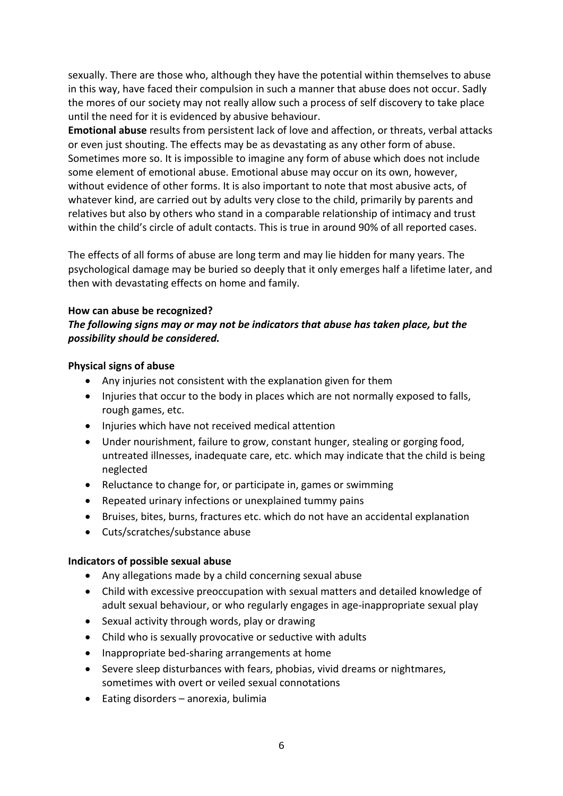sexually. There are those who, although they have the potential within themselves to abuse in this way, have faced their compulsion in such a manner that abuse does not occur. Sadly the mores of our society may not really allow such a process of self discovery to take place until the need for it is evidenced by abusive behaviour.

**Emotional abuse** results from persistent lack of love and affection, or threats, verbal attacks or even just shouting. The effects may be as devastating as any other form of abuse. Sometimes more so. It is impossible to imagine any form of abuse which does not include some element of emotional abuse. Emotional abuse may occur on its own, however, without evidence of other forms. It is also important to note that most abusive acts, of whatever kind, are carried out by adults very close to the child, primarily by parents and relatives but also by others who stand in a comparable relationship of intimacy and trust within the child's circle of adult contacts. This is true in around 90% of all reported cases.

The effects of all forms of abuse are long term and may lie hidden for many years. The psychological damage may be buried so deeply that it only emerges half a lifetime later, and then with devastating effects on home and family.

#### **How can abuse be recognized?**

### *The following signs may or may not be indicators that abuse has taken place, but the possibility should be considered.*

#### **Physical signs of abuse**

- Any injuries not consistent with the explanation given for them
- Injuries that occur to the body in places which are not normally exposed to falls, rough games, etc.
- Injuries which have not received medical attention
- Under nourishment, failure to grow, constant hunger, stealing or gorging food, untreated illnesses, inadequate care, etc. which may indicate that the child is being neglected
- Reluctance to change for, or participate in, games or swimming
- Repeated urinary infections or unexplained tummy pains
- Bruises, bites, burns, fractures etc. which do not have an accidental explanation
- Cuts/scratches/substance abuse

### **Indicators of possible sexual abuse**

- Any allegations made by a child concerning sexual abuse
- Child with excessive preoccupation with sexual matters and detailed knowledge of adult sexual behaviour, or who regularly engages in age-inappropriate sexual play
- Sexual activity through words, play or drawing
- Child who is sexually provocative or seductive with adults
- Inappropriate bed-sharing arrangements at home
- Severe sleep disturbances with fears, phobias, vivid dreams or nightmares, sometimes with overt or veiled sexual connotations
- Eating disorders anorexia, bulimia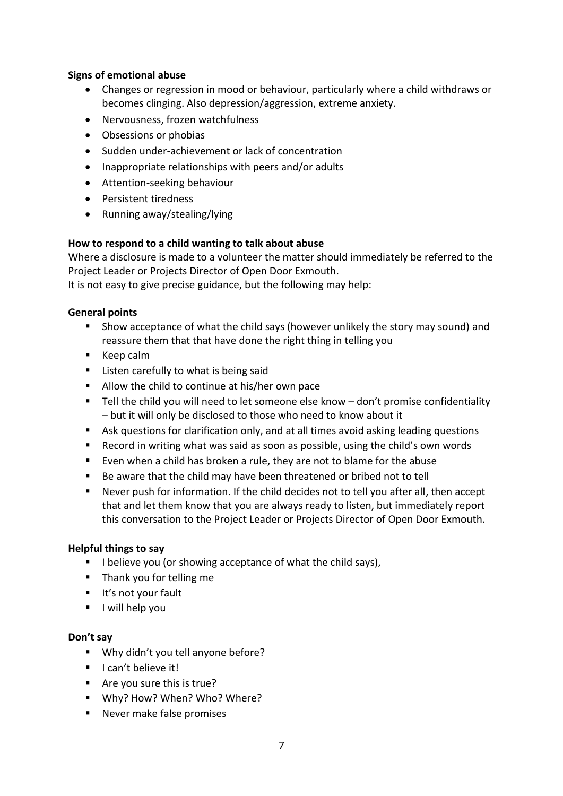### **Signs of emotional abuse**

- Changes or regression in mood or behaviour, particularly where a child withdraws or becomes clinging. Also depression/aggression, extreme anxiety.
- Nervousness, frozen watchfulness
- Obsessions or phobias
- Sudden under-achievement or lack of concentration
- Inappropriate relationships with peers and/or adults
- Attention-seeking behaviour
- Persistent tiredness
- Running away/stealing/lying

### **How to respond to a child wanting to talk about abuse**

Where a disclosure is made to a volunteer the matter should immediately be referred to the Project Leader or Projects Director of Open Door Exmouth.

It is not easy to give precise guidance, but the following may help:

### **General points**

- Show acceptance of what the child says (however unlikely the story may sound) and reassure them that that have done the right thing in telling you
- Keep calm
- Listen carefully to what is being said
- Allow the child to continue at his/her own pace
- Tell the child you will need to let someone else know don't promise confidentiality – but it will only be disclosed to those who need to know about it
- Ask questions for clarification only, and at all times avoid asking leading questions
- Record in writing what was said as soon as possible, using the child's own words
- Even when a child has broken a rule, they are not to blame for the abuse
- Be aware that the child may have been threatened or bribed not to tell
- Never push for information. If the child decides not to tell you after all, then accept that and let them know that you are always ready to listen, but immediately report this conversation to the Project Leader or Projects Director of Open Door Exmouth.

### **Helpful things to say**

- I believe you (or showing acceptance of what the child says),
- Thank you for telling me
- It's not your fault
- I will help you

### **Don't say**

- Why didn't you tell anyone before?
- I can't believe it!
- Are you sure this is true?
- Why? How? When? Who? Where?
- Never make false promises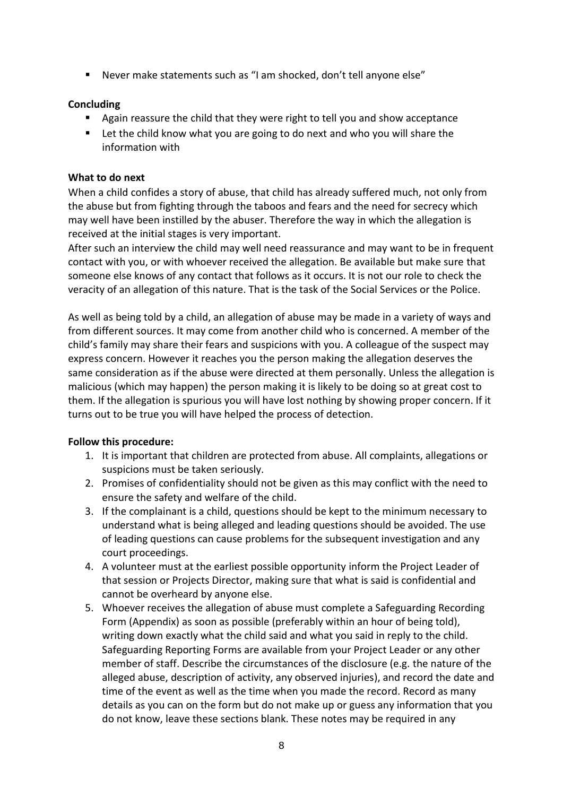■ Never make statements such as "I am shocked, don't tell anyone else"

### **Concluding**

- Again reassure the child that they were right to tell you and show acceptance
- Let the child know what you are going to do next and who you will share the information with

### **What to do next**

When a child confides a story of abuse, that child has already suffered much, not only from the abuse but from fighting through the taboos and fears and the need for secrecy which may well have been instilled by the abuser. Therefore the way in which the allegation is received at the initial stages is very important.

After such an interview the child may well need reassurance and may want to be in frequent contact with you, or with whoever received the allegation. Be available but make sure that someone else knows of any contact that follows as it occurs. It is not our role to check the veracity of an allegation of this nature. That is the task of the Social Services or the Police.

As well as being told by a child, an allegation of abuse may be made in a variety of ways and from different sources. It may come from another child who is concerned. A member of the child's family may share their fears and suspicions with you. A colleague of the suspect may express concern. However it reaches you the person making the allegation deserves the same consideration as if the abuse were directed at them personally. Unless the allegation is malicious (which may happen) the person making it is likely to be doing so at great cost to them. If the allegation is spurious you will have lost nothing by showing proper concern. If it turns out to be true you will have helped the process of detection.

### **Follow this procedure:**

- 1. It is important that children are protected from abuse. All complaints, allegations or suspicions must be taken seriously.
- 2. Promises of confidentiality should not be given as this may conflict with the need to ensure the safety and welfare of the child.
- 3. If the complainant is a child, questions should be kept to the minimum necessary to understand what is being alleged and leading questions should be avoided. The use of leading questions can cause problems for the subsequent investigation and any court proceedings.
- 4. A volunteer must at the earliest possible opportunity inform the Project Leader of that session or Projects Director, making sure that what is said is confidential and cannot be overheard by anyone else.
- 5. Whoever receives the allegation of abuse must complete a Safeguarding Recording Form (Appendix) as soon as possible (preferably within an hour of being told), writing down exactly what the child said and what you said in reply to the child. Safeguarding Reporting Forms are available from your Project Leader or any other member of staff. Describe the circumstances of the disclosure (e.g. the nature of the alleged abuse, description of activity, any observed injuries), and record the date and time of the event as well as the time when you made the record. Record as many details as you can on the form but do not make up or guess any information that you do not know, leave these sections blank. These notes may be required in any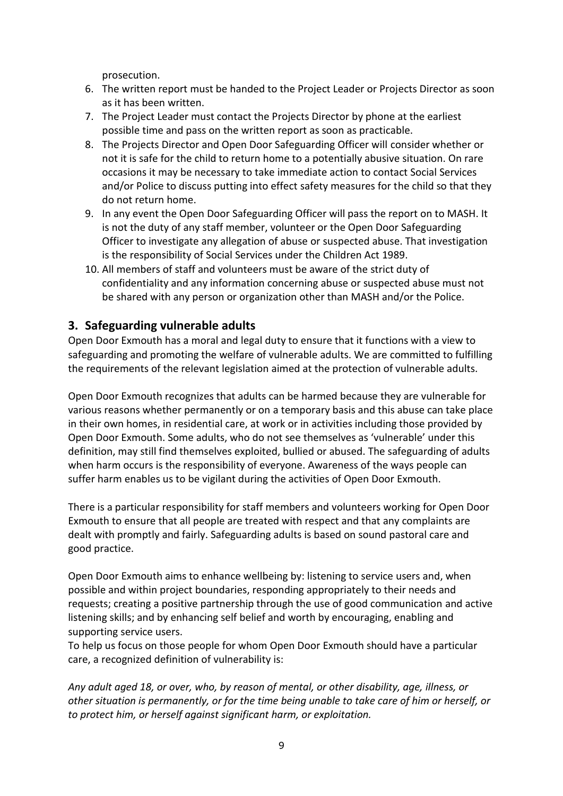prosecution.

- 6. The written report must be handed to the Project Leader or Projects Director as soon as it has been written.
- 7. The Project Leader must contact the Projects Director by phone at the earliest possible time and pass on the written report as soon as practicable.
- 8. The Projects Director and Open Door Safeguarding Officer will consider whether or not it is safe for the child to return home to a potentially abusive situation. On rare occasions it may be necessary to take immediate action to contact Social Services and/or Police to discuss putting into effect safety measures for the child so that they do not return home.
- 9. In any event the Open Door Safeguarding Officer will pass the report on to MASH. It is not the duty of any staff member, volunteer or the Open Door Safeguarding Officer to investigate any allegation of abuse or suspected abuse. That investigation is the responsibility of Social Services under the Children Act 1989.
- 10. All members of staff and volunteers must be aware of the strict duty of confidentiality and any information concerning abuse or suspected abuse must not be shared with any person or organization other than MASH and/or the Police.

# **3. Safeguarding vulnerable adults**

Open Door Exmouth has a moral and legal duty to ensure that it functions with a view to safeguarding and promoting the welfare of vulnerable adults. We are committed to fulfilling the requirements of the relevant legislation aimed at the protection of vulnerable adults.

Open Door Exmouth recognizes that adults can be harmed because they are vulnerable for various reasons whether permanently or on a temporary basis and this abuse can take place in their own homes, in residential care, at work or in activities including those provided by Open Door Exmouth. Some adults, who do not see themselves as 'vulnerable' under this definition, may still find themselves exploited, bullied or abused. The safeguarding of adults when harm occurs is the responsibility of everyone. Awareness of the ways people can suffer harm enables us to be vigilant during the activities of Open Door Exmouth.

There is a particular responsibility for staff members and volunteers working for Open Door Exmouth to ensure that all people are treated with respect and that any complaints are dealt with promptly and fairly. Safeguarding adults is based on sound pastoral care and good practice.

Open Door Exmouth aims to enhance wellbeing by: listening to service users and, when possible and within project boundaries, responding appropriately to their needs and requests; creating a positive partnership through the use of good communication and active listening skills; and by enhancing self belief and worth by encouraging, enabling and supporting service users.

To help us focus on those people for whom Open Door Exmouth should have a particular care, a recognized definition of vulnerability is:

*Any adult aged 18, or over, who, by reason of mental, or other disability, age, illness, or other situation is permanently, or for the time being unable to take care of him or herself, or to protect him, or herself against significant harm, or exploitation.*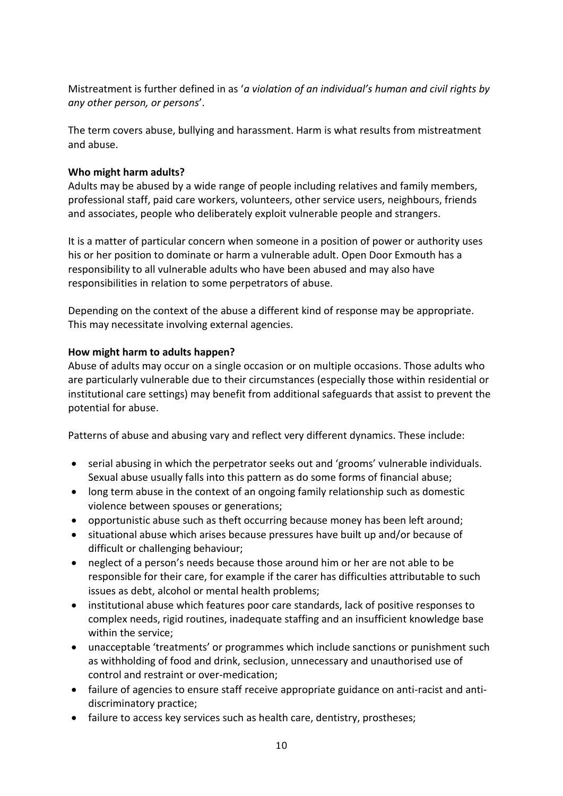Mistreatment is further defined in as '*a violation of an individual's human and civil rights by any other person, or persons*'.

The term covers abuse, bullying and harassment. Harm is what results from mistreatment and abuse.

### **Who might harm adults?**

Adults may be abused by a wide range of people including relatives and family members, professional staff, paid care workers, volunteers, other service users, neighbours, friends and associates, people who deliberately exploit vulnerable people and strangers.

It is a matter of particular concern when someone in a position of power or authority uses his or her position to dominate or harm a vulnerable adult. Open Door Exmouth has a responsibility to all vulnerable adults who have been abused and may also have responsibilities in relation to some perpetrators of abuse.

Depending on the context of the abuse a different kind of response may be appropriate. This may necessitate involving external agencies.

### **How might harm to adults happen?**

Abuse of adults may occur on a single occasion or on multiple occasions. Those adults who are particularly vulnerable due to their circumstances (especially those within residential or institutional care settings) may benefit from additional safeguards that assist to prevent the potential for abuse.

Patterns of abuse and abusing vary and reflect very different dynamics. These include:

- serial abusing in which the perpetrator seeks out and 'grooms' vulnerable individuals. Sexual abuse usually falls into this pattern as do some forms of financial abuse;
- long term abuse in the context of an ongoing family relationship such as domestic violence between spouses or generations;
- opportunistic abuse such as theft occurring because money has been left around;
- situational abuse which arises because pressures have built up and/or because of difficult or challenging behaviour;
- neglect of a person's needs because those around him or her are not able to be responsible for their care, for example if the carer has difficulties attributable to such issues as debt, alcohol or mental health problems;
- institutional abuse which features poor care standards, lack of positive responses to complex needs, rigid routines, inadequate staffing and an insufficient knowledge base within the service;
- unacceptable 'treatments' or programmes which include sanctions or punishment such as withholding of food and drink, seclusion, unnecessary and unauthorised use of control and restraint or over-medication;
- failure of agencies to ensure staff receive appropriate guidance on anti-racist and antidiscriminatory practice;
- failure to access key services such as health care, dentistry, prostheses;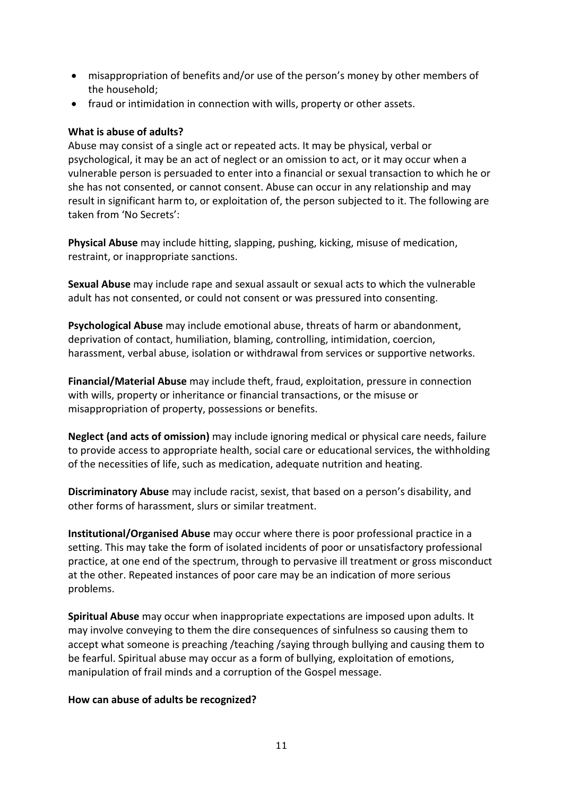- misappropriation of benefits and/or use of the person's money by other members of the household;
- fraud or intimidation in connection with wills, property or other assets.

### **What is abuse of adults?**

Abuse may consist of a single act or repeated acts. It may be physical, verbal or psychological, it may be an act of neglect or an omission to act, or it may occur when a vulnerable person is persuaded to enter into a financial or sexual transaction to which he or she has not consented, or cannot consent. Abuse can occur in any relationship and may result in significant harm to, or exploitation of, the person subjected to it. The following are taken from 'No Secrets':

**Physical Abuse** may include hitting, slapping, pushing, kicking, misuse of medication, restraint, or inappropriate sanctions.

**Sexual Abuse** may include rape and sexual assault or sexual acts to which the vulnerable adult has not consented, or could not consent or was pressured into consenting.

**Psychological Abuse** may include emotional abuse, threats of harm or abandonment, deprivation of contact, humiliation, blaming, controlling, intimidation, coercion, harassment, verbal abuse, isolation or withdrawal from services or supportive networks.

**Financial/Material Abuse** may include theft, fraud, exploitation, pressure in connection with wills, property or inheritance or financial transactions, or the misuse or misappropriation of property, possessions or benefits.

**Neglect (and acts of omission)** may include ignoring medical or physical care needs, failure to provide access to appropriate health, social care or educational services, the withholding of the necessities of life, such as medication, adequate nutrition and heating.

**Discriminatory Abuse** may include racist, sexist, that based on a person's disability, and other forms of harassment, slurs or similar treatment.

**Institutional/Organised Abuse** may occur where there is poor professional practice in a setting. This may take the form of isolated incidents of poor or unsatisfactory professional practice, at one end of the spectrum, through to pervasive ill treatment or gross misconduct at the other. Repeated instances of poor care may be an indication of more serious problems.

**Spiritual Abuse** may occur when inappropriate expectations are imposed upon adults. It may involve conveying to them the dire consequences of sinfulness so causing them to accept what someone is preaching /teaching /saying through bullying and causing them to be fearful. Spiritual abuse may occur as a form of bullying, exploitation of emotions, manipulation of frail minds and a corruption of the Gospel message.

### **How can abuse of adults be recognized?**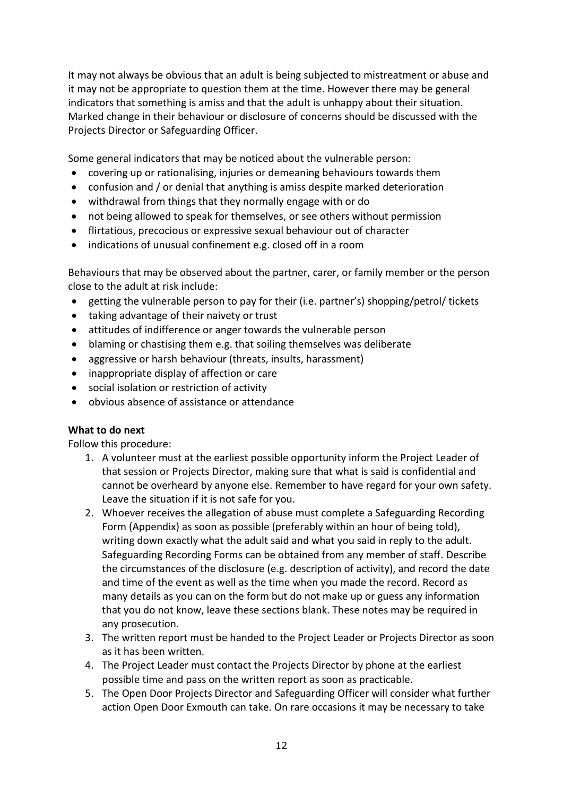It may not always be obvious that an adult is being subjected to mistreatment or abuse and it may not be appropriate to question them at the time. However there may be general indicators that something is amiss and that the adult is unhappy about their situation. Marked change in their behaviour or disclosure of concerns should be discussed with the Projects Director or Safeguarding Officer.

Some general indicators that may be noticed about the vulnerable person:

- covering up or rationalising, injuries or demeaning behaviours towards them
- confusion and / or denial that anything is amiss despite marked deterioration
- withdrawal from things that they normally engage with or do
- not being allowed to speak for themselves, or see others without permission
- flirtatious, precocious or expressive sexual behaviour out of character
- indications of unusual confinement e.g. closed off in a room

Behaviours that may be observed about the partner, carer, or family member or the person close to the adult at risk include:

- getting the vulnerable person to pay for their (i.e. partner's) shopping/petrol/ tickets
- taking advantage of their naivety or trust
- attitudes of indifference or anger towards the vulnerable person
- blaming or chastising them e.g. that soiling themselves was deliberate
- aggressive or harsh behaviour (threats, insults, harassment)
- inappropriate display of affection or care
- social isolation or restriction of activity
- obvious absence of assistance or attendance

### **What to do next**

Follow this procedure:

- 1. A volunteer must at the earliest possible opportunity inform the Project Leader of that session or Projects Director, making sure that what is said is confidential and cannot be overheard by anyone else. Remember to have regard for your own safety. Leave the situation if it is not safe for you.
- 2. Whoever receives the allegation of abuse must complete a Safeguarding Recording Form (Appendix) as soon as possible (preferably within an hour of being told), writing down exactly what the adult said and what you said in reply to the adult. Safeguarding Recording Forms can be obtained from any member of staff. Describe the circumstances of the disclosure (e.g. description of activity), and record the date and time of the event as well as the time when you made the record. Record as many details as you can on the form but do not make up or guess any information that you do not know, leave these sections blank. These notes may be required in any prosecution.
- 3. The written report must be handed to the Project Leader or Projects Director as soon as it has been written.
- 4. The Project Leader must contact the Projects Director by phone at the earliest possible time and pass on the written report as soon as practicable.
- 5. The Open Door Projects Director and Safeguarding Officer will consider what further action Open Door Exmouth can take. On rare occasions it may be necessary to take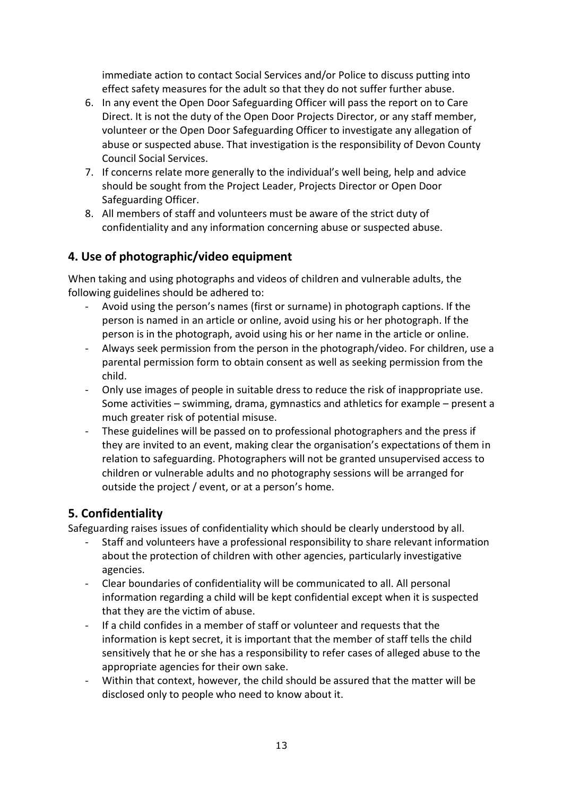immediate action to contact Social Services and/or Police to discuss putting into effect safety measures for the adult so that they do not suffer further abuse.

- 6. In any event the Open Door Safeguarding Officer will pass the report on to Care Direct. It is not the duty of the Open Door Projects Director, or any staff member, volunteer or the Open Door Safeguarding Officer to investigate any allegation of abuse or suspected abuse. That investigation is the responsibility of Devon County Council Social Services.
- 7. If concerns relate more generally to the individual's well being, help and advice should be sought from the Project Leader, Projects Director or Open Door Safeguarding Officer.
- 8. All members of staff and volunteers must be aware of the strict duty of confidentiality and any information concerning abuse or suspected abuse.

# **4. Use of photographic/video equipment**

When taking and using photographs and videos of children and vulnerable adults, the following guidelines should be adhered to:

- Avoid using the person's names (first or surname) in photograph captions. If the person is named in an article or online, avoid using his or her photograph. If the person is in the photograph, avoid using his or her name in the article or online.
- Always seek permission from the person in the photograph/video. For children, use a parental permission form to obtain consent as well as seeking permission from the child.
- Only use images of people in suitable dress to reduce the risk of inappropriate use. Some activities – swimming, drama, gymnastics and athletics for example – present a much greater risk of potential misuse.
- These guidelines will be passed on to professional photographers and the press if they are invited to an event, making clear the organisation's expectations of them in relation to safeguarding. Photographers will not be granted unsupervised access to children or vulnerable adults and no photography sessions will be arranged for outside the project / event, or at a person's home.

# **5. Confidentiality**

Safeguarding raises issues of confidentiality which should be clearly understood by all.

- Staff and volunteers have a professional responsibility to share relevant information about the protection of children with other agencies, particularly investigative agencies.
- Clear boundaries of confidentiality will be communicated to all. All personal information regarding a child will be kept confidential except when it is suspected that they are the victim of abuse.
- If a child confides in a member of staff or volunteer and requests that the information is kept secret, it is important that the member of staff tells the child sensitively that he or she has a responsibility to refer cases of alleged abuse to the appropriate agencies for their own sake.
- Within that context, however, the child should be assured that the matter will be disclosed only to people who need to know about it.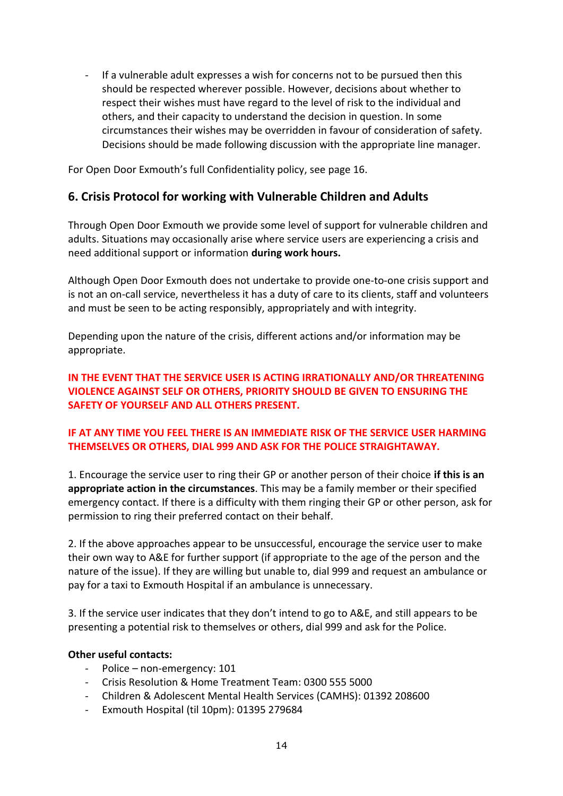- If a vulnerable adult expresses a wish for concerns not to be pursued then this should be respected wherever possible. However, decisions about whether to respect their wishes must have regard to the level of risk to the individual and others, and their capacity to understand the decision in question. In some circumstances their wishes may be overridden in favour of consideration of safety. Decisions should be made following discussion with the appropriate line manager.

For Open Door Exmouth's full Confidentiality policy, see page 16.

# **6. Crisis Protocol for working with Vulnerable Children and Adults**

Through Open Door Exmouth we provide some level of support for vulnerable children and adults. Situations may occasionally arise where service users are experiencing a crisis and need additional support or information **during work hours.** 

Although Open Door Exmouth does not undertake to provide one-to-one crisis support and is not an on-call service, nevertheless it has a duty of care to its clients, staff and volunteers and must be seen to be acting responsibly, appropriately and with integrity.

Depending upon the nature of the crisis, different actions and/or information may be appropriate.

**IN THE EVENT THAT THE SERVICE USER IS ACTING IRRATIONALLY AND/OR THREATENING VIOLENCE AGAINST SELF OR OTHERS, PRIORITY SHOULD BE GIVEN TO ENSURING THE SAFETY OF YOURSELF AND ALL OTHERS PRESENT.** 

### **IF AT ANY TIME YOU FEEL THERE IS AN IMMEDIATE RISK OF THE SERVICE USER HARMING THEMSELVES OR OTHERS, DIAL 999 AND ASK FOR THE POLICE STRAIGHTAWAY.**

1. Encourage the service user to ring their GP or another person of their choice **if this is an appropriate action in the circumstances**. This may be a family member or their specified emergency contact. If there is a difficulty with them ringing their GP or other person, ask for permission to ring their preferred contact on their behalf.

2. If the above approaches appear to be unsuccessful, encourage the service user to make their own way to A&E for further support (if appropriate to the age of the person and the nature of the issue). If they are willing but unable to, dial 999 and request an ambulance or pay for a taxi to Exmouth Hospital if an ambulance is unnecessary.

3. If the service user indicates that they don't intend to go to A&E, and still appears to be presenting a potential risk to themselves or others, dial 999 and ask for the Police.

### **Other useful contacts:**

- Police non-emergency: 101
- Crisis Resolution & Home Treatment Team: 0300 555 5000
- Children & Adolescent Mental Health Services (CAMHS): 01392 208600
- Exmouth Hospital (til 10pm): 01395 279684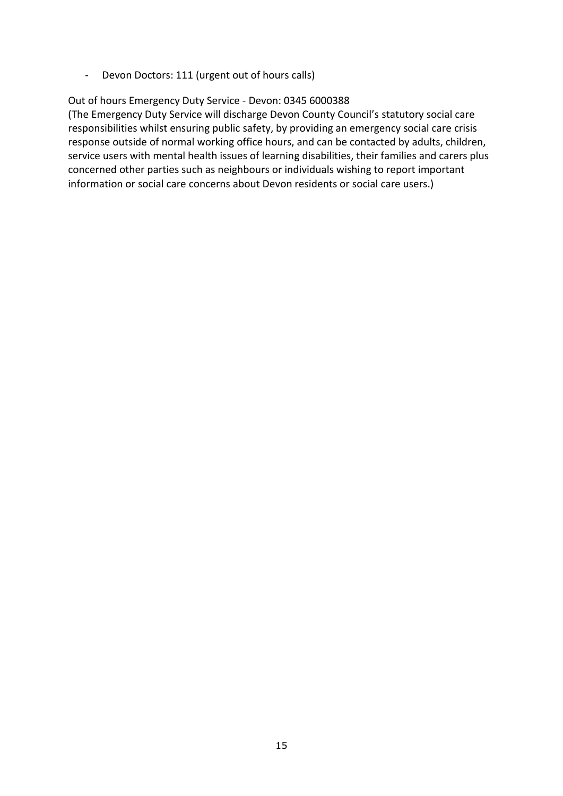- Devon Doctors: 111 (urgent out of hours calls)

### Out of hours Emergency Duty Service - Devon: 0345 6000388

(The Emergency Duty Service will discharge Devon County Council's statutory social care responsibilities whilst ensuring public safety, by providing an emergency social care crisis response outside of normal working office hours, and can be contacted by adults, children, service users with mental health issues of learning disabilities, their families and carers plus concerned other parties such as neighbours or individuals wishing to report important information or social care concerns about Devon residents or social care users.)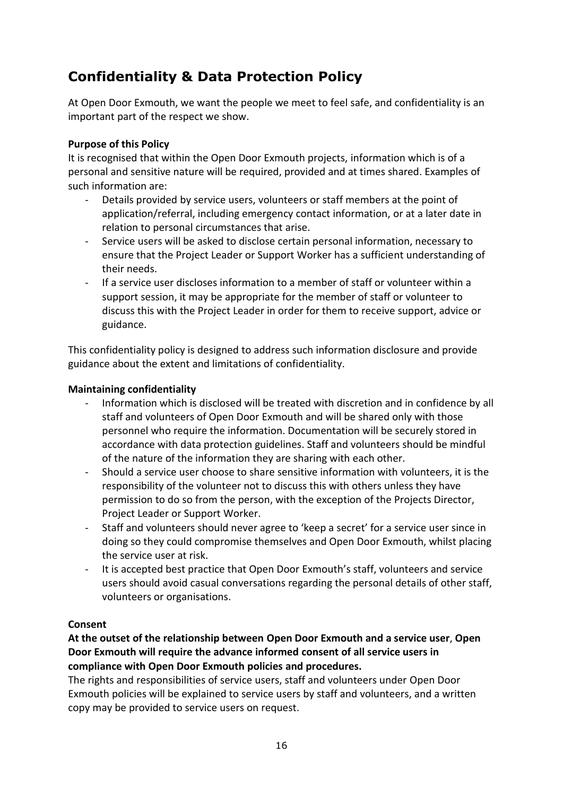# **Confidentiality & Data Protection Policy**

At Open Door Exmouth, we want the people we meet to feel safe, and confidentiality is an important part of the respect we show.

### **Purpose of this Policy**

It is recognised that within the Open Door Exmouth projects, information which is of a personal and sensitive nature will be required, provided and at times shared. Examples of such information are:

- Details provided by service users, volunteers or staff members at the point of application/referral, including emergency contact information, or at a later date in relation to personal circumstances that arise.
- Service users will be asked to disclose certain personal information, necessary to ensure that the Project Leader or Support Worker has a sufficient understanding of their needs.
- If a service user discloses information to a member of staff or volunteer within a support session, it may be appropriate for the member of staff or volunteer to discuss this with the Project Leader in order for them to receive support, advice or guidance.

This confidentiality policy is designed to address such information disclosure and provide guidance about the extent and limitations of confidentiality.

### **Maintaining confidentiality**

- Information which is disclosed will be treated with discretion and in confidence by all staff and volunteers of Open Door Exmouth and will be shared only with those personnel who require the information. Documentation will be securely stored in accordance with data protection guidelines. Staff and volunteers should be mindful of the nature of the information they are sharing with each other.
- Should a service user choose to share sensitive information with volunteers, it is the responsibility of the volunteer not to discuss this with others unless they have permission to do so from the person, with the exception of the Projects Director, Project Leader or Support Worker.
- Staff and volunteers should never agree to 'keep a secret' for a service user since in doing so they could compromise themselves and Open Door Exmouth, whilst placing the service user at risk.
- It is accepted best practice that Open Door Exmouth's staff, volunteers and service users should avoid casual conversations regarding the personal details of other staff, volunteers or organisations.

### **Consent**

**At the outset of the relationship between Open Door Exmouth and a service user**, **Open Door Exmouth will require the advance informed consent of all service users in compliance with Open Door Exmouth policies and procedures.**

The rights and responsibilities of service users, staff and volunteers under Open Door Exmouth policies will be explained to service users by staff and volunteers, and a written copy may be provided to service users on request.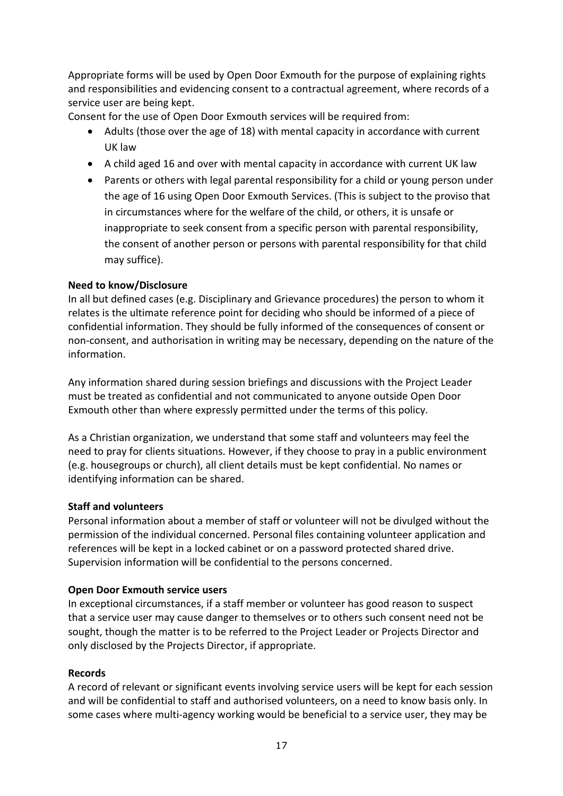Appropriate forms will be used by Open Door Exmouth for the purpose of explaining rights and responsibilities and evidencing consent to a contractual agreement, where records of a service user are being kept.

Consent for the use of Open Door Exmouth services will be required from:

- Adults (those over the age of 18) with mental capacity in accordance with current UK law
- A child aged 16 and over with mental capacity in accordance with current UK law
- Parents or others with legal parental responsibility for a child or young person under the age of 16 using Open Door Exmouth Services. (This is subject to the proviso that in circumstances where for the welfare of the child, or others, it is unsafe or inappropriate to seek consent from a specific person with parental responsibility, the consent of another person or persons with parental responsibility for that child may suffice).

### **Need to know/Disclosure**

In all but defined cases (e.g. Disciplinary and Grievance procedures) the person to whom it relates is the ultimate reference point for deciding who should be informed of a piece of confidential information. They should be fully informed of the consequences of consent or non-consent, and authorisation in writing may be necessary, depending on the nature of the information.

Any information shared during session briefings and discussions with the Project Leader must be treated as confidential and not communicated to anyone outside Open Door Exmouth other than where expressly permitted under the terms of this policy.

As a Christian organization, we understand that some staff and volunteers may feel the need to pray for clients situations. However, if they choose to pray in a public environment (e.g. housegroups or church), all client details must be kept confidential. No names or identifying information can be shared.

### **Staff and volunteers**

Personal information about a member of staff or volunteer will not be divulged without the permission of the individual concerned. Personal files containing volunteer application and references will be kept in a locked cabinet or on a password protected shared drive. Supervision information will be confidential to the persons concerned.

### **Open Door Exmouth service users**

In exceptional circumstances, if a staff member or volunteer has good reason to suspect that a service user may cause danger to themselves or to others such consent need not be sought, though the matter is to be referred to the Project Leader or Projects Director and only disclosed by the Projects Director, if appropriate.

### **Records**

A record of relevant or significant events involving service users will be kept for each session and will be confidential to staff and authorised volunteers, on a need to know basis only. In some cases where multi-agency working would be beneficial to a service user, they may be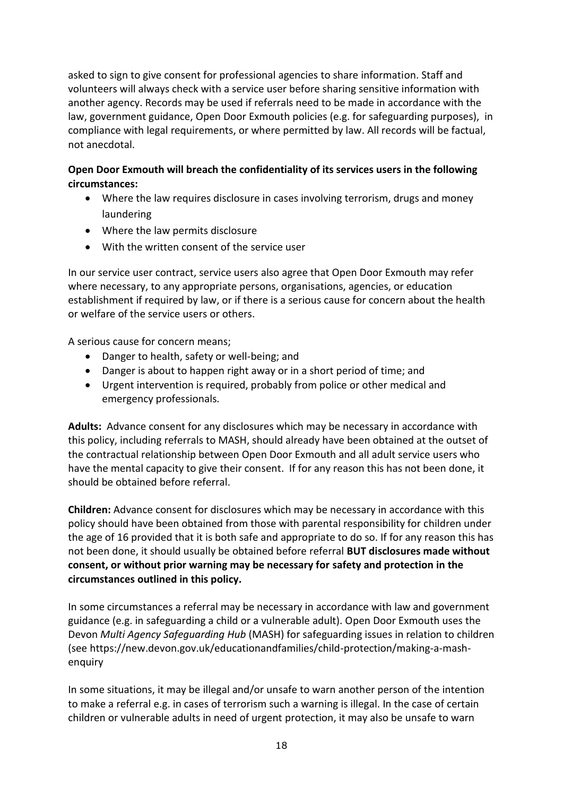asked to sign to give consent for professional agencies to share information. Staff and volunteers will always check with a service user before sharing sensitive information with another agency. Records may be used if referrals need to be made in accordance with the law, government guidance, Open Door Exmouth policies (e.g. for safeguarding purposes), in compliance with legal requirements, or where permitted by law. All records will be factual, not anecdotal.

### **Open Door Exmouth will breach the confidentiality of its services users in the following circumstances:**

- Where the law requires disclosure in cases involving terrorism, drugs and money laundering
- Where the law permits disclosure
- With the written consent of the service user

In our service user contract, service users also agree that Open Door Exmouth may refer where necessary, to any appropriate persons, organisations, agencies, or education establishment if required by law, or if there is a serious cause for concern about the health or welfare of the service users or others.

A serious cause for concern means;

- Danger to health, safety or well-being; and
- Danger is about to happen right away or in a short period of time; and
- Urgent intervention is required, probably from police or other medical and emergency professionals.

**Adults:** Advance consent for any disclosures which may be necessary in accordance with this policy, including referrals to MASH, should already have been obtained at the outset of the contractual relationship between Open Door Exmouth and all adult service users who have the mental capacity to give their consent. If for any reason this has not been done, it should be obtained before referral.

**Children:** Advance consent for disclosures which may be necessary in accordance with this policy should have been obtained from those with parental responsibility for children under the age of 16 provided that it is both safe and appropriate to do so. If for any reason this has not been done, it should usually be obtained before referral **BUT disclosures made without consent, or without prior warning may be necessary for safety and protection in the circumstances outlined in this policy.**

In some circumstances a referral may be necessary in accordance with law and government guidance (e.g. in safeguarding a child or a vulnerable adult). Open Door Exmouth uses the Devon *Multi Agency Safeguarding Hub* (MASH) for safeguarding issues in relation to children (see [https://new.devon.gov.uk/educationandfamilies/child-protection/making-a-mash](https://new.devon.gov.uk/educationandfamilies/child-protection/making-a-mash-enquiry)[enquiry](https://new.devon.gov.uk/educationandfamilies/child-protection/making-a-mash-enquiry)

In some situations, it may be illegal and/or unsafe to warn another person of the intention to make a referral e.g. in cases of terrorism such a warning is illegal. In the case of certain children or vulnerable adults in need of urgent protection, it may also be unsafe to warn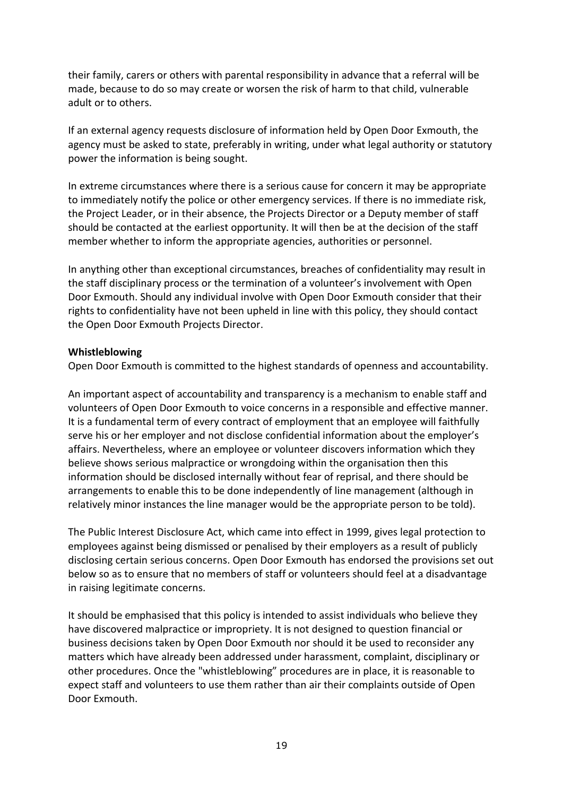their family, carers or others with parental responsibility in advance that a referral will be made, because to do so may create or worsen the risk of harm to that child, vulnerable adult or to others.

If an external agency requests disclosure of information held by Open Door Exmouth, the agency must be asked to state, preferably in writing, under what legal authority or statutory power the information is being sought.

In extreme circumstances where there is a serious cause for concern it may be appropriate to immediately notify the police or other emergency services. If there is no immediate risk, the Project Leader, or in their absence, the Projects Director or a Deputy member of staff should be contacted at the earliest opportunity. It will then be at the decision of the staff member whether to inform the appropriate agencies, authorities or personnel.

In anything other than exceptional circumstances, breaches of confidentiality may result in the staff disciplinary process or the termination of a volunteer's involvement with Open Door Exmouth. Should any individual involve with Open Door Exmouth consider that their rights to confidentiality have not been upheld in line with this policy, they should contact the Open Door Exmouth Projects Director.

### **Whistleblowing**

Open Door Exmouth is committed to the highest standards of openness and accountability.

An important aspect of accountability and transparency is a mechanism to enable staff and volunteers of Open Door Exmouth to voice concerns in a responsible and effective manner. It is a fundamental term of every contract of employment that an employee will faithfully serve his or her employer and not disclose confidential information about the employer's affairs. Nevertheless, where an employee or volunteer discovers information which they believe shows serious malpractice or wrongdoing within the organisation then this information should be disclosed internally without fear of reprisal, and there should be arrangements to enable this to be done independently of line management (although in relatively minor instances the line manager would be the appropriate person to be told).

The Public Interest Disclosure Act, which came into effect in 1999, gives legal protection to employees against being dismissed or penalised by their employers as a result of publicly disclosing certain serious concerns. Open Door Exmouth has endorsed the provisions set out below so as to ensure that no members of staff or volunteers should feel at a disadvantage in raising legitimate concerns.

It should be emphasised that this policy is intended to assist individuals who believe they have discovered malpractice or impropriety. It is not designed to question financial or business decisions taken by Open Door Exmouth nor should it be used to reconsider any matters which have already been addressed under harassment, complaint, disciplinary or other procedures. Once the "whistleblowing" procedures are in place, it is reasonable to expect staff and volunteers to use them rather than air their complaints outside of Open Door Exmouth.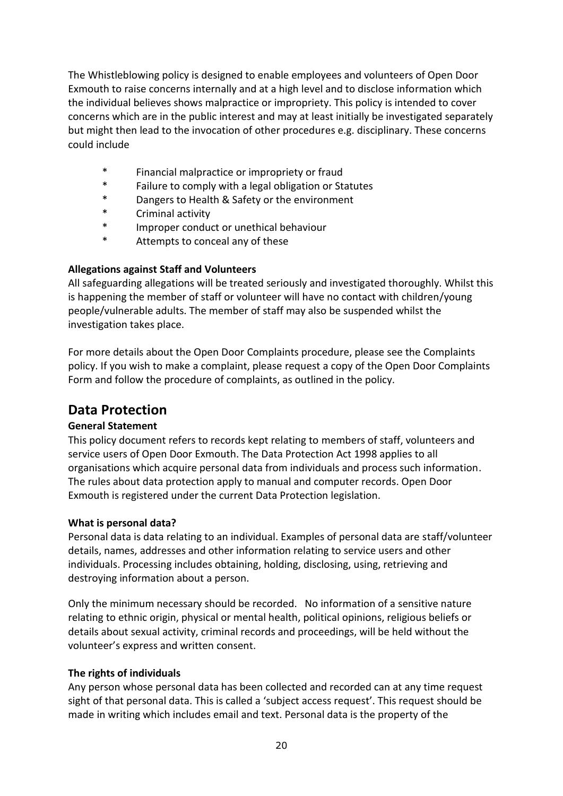The Whistleblowing policy is designed to enable employees and volunteers of Open Door Exmouth to raise concerns internally and at a high level and to disclose information which the individual believes shows malpractice or impropriety. This policy is intended to cover concerns which are in the public interest and may at least initially be investigated separately but might then lead to the invocation of other procedures e.g. disciplinary. These concerns could include

- \* Financial malpractice or impropriety or fraud
- Failure to comply with a legal obligation or Statutes
- \* Dangers to Health & Safety or the environment
- Criminal activity
- \* Improper conduct or unethical behaviour
- \* Attempts to conceal any of these

### **Allegations against Staff and Volunteers**

All safeguarding allegations will be treated seriously and investigated thoroughly. Whilst this is happening the member of staff or volunteer will have no contact with children/young people/vulnerable adults. The member of staff may also be suspended whilst the investigation takes place.

For more details about the Open Door Complaints procedure, please see the Complaints policy. If you wish to make a complaint, please request a copy of the Open Door Complaints Form and follow the procedure of complaints, as outlined in the policy.

# **Data Protection**

### **General Statement**

This policy document refers to records kept relating to members of staff, volunteers and service users of Open Door Exmouth. The Data Protection Act 1998 applies to all organisations which acquire personal data from individuals and process such information. The rules about data protection apply to manual and computer records. Open Door Exmouth is registered under the current Data Protection legislation.

### **What is personal data?**

Personal data is data relating to an individual. Examples of personal data are staff/volunteer details, names, addresses and other information relating to service users and other individuals. Processing includes obtaining, holding, disclosing, using, retrieving and destroying information about a person.

Only the minimum necessary should be recorded. No information of a sensitive nature relating to ethnic origin, physical or mental health, political opinions, religious beliefs or details about sexual activity, criminal records and proceedings, will be held without the volunteer's express and written consent.

### **The rights of individuals**

Any person whose personal data has been collected and recorded can at any time request sight of that personal data. This is called a 'subject access request'. This request should be made in writing which includes email and text. Personal data is the property of the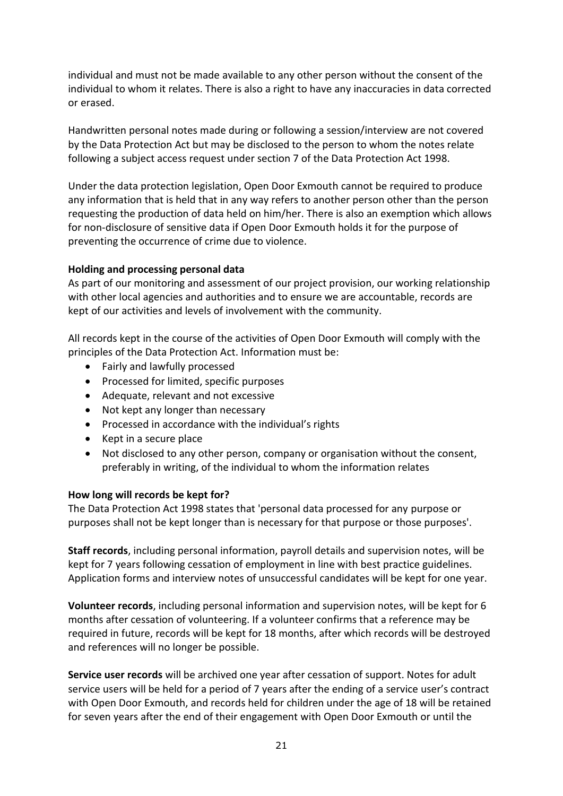individual and must not be made available to any other person without the consent of the individual to whom it relates. There is also a right to have any inaccuracies in data corrected or erased.

Handwritten personal notes made during or following a session/interview are not covered by the Data Protection Act but may be disclosed to the person to whom the notes relate following a subject access request under section 7 of the Data Protection Act 1998.

Under the data protection legislation, Open Door Exmouth cannot be required to produce any information that is held that in any way refers to another person other than the person requesting the production of data held on him/her. There is also an exemption which allows for non-disclosure of sensitive data if Open Door Exmouth holds it for the purpose of preventing the occurrence of crime due to violence.

### **Holding and processing personal data**

As part of our monitoring and assessment of our project provision, our working relationship with other local agencies and authorities and to ensure we are accountable, records are kept of our activities and levels of involvement with the community.

All records kept in the course of the activities of Open Door Exmouth will comply with the principles of the Data Protection Act. Information must be:

- Fairly and lawfully processed
- Processed for limited, specific purposes
- Adequate, relevant and not excessive
- Not kept any longer than necessary
- Processed in accordance with the individual's rights
- Kept in a secure place
- Not disclosed to any other person, company or organisation without the consent, preferably in writing, of the individual to whom the information relates

### **How long will records be kept for?**

The Data Protection Act 1998 states that 'personal data processed for any purpose or purposes shall not be kept longer than is necessary for that purpose or those purposes'.

**Staff records**, including personal information, payroll details and supervision notes, will be kept for 7 years following cessation of employment in line with best practice guidelines. Application forms and interview notes of unsuccessful candidates will be kept for one year.

**Volunteer records**, including personal information and supervision notes, will be kept for 6 months after cessation of volunteering. If a volunteer confirms that a reference may be required in future, records will be kept for 18 months, after which records will be destroyed and references will no longer be possible.

**Service user records** will be archived one year after cessation of support. Notes for adult service users will be held for a period of 7 years after the ending of a service user's contract with Open Door Exmouth, and records held for children under the age of 18 will be retained for seven years after the end of their engagement with Open Door Exmouth or until the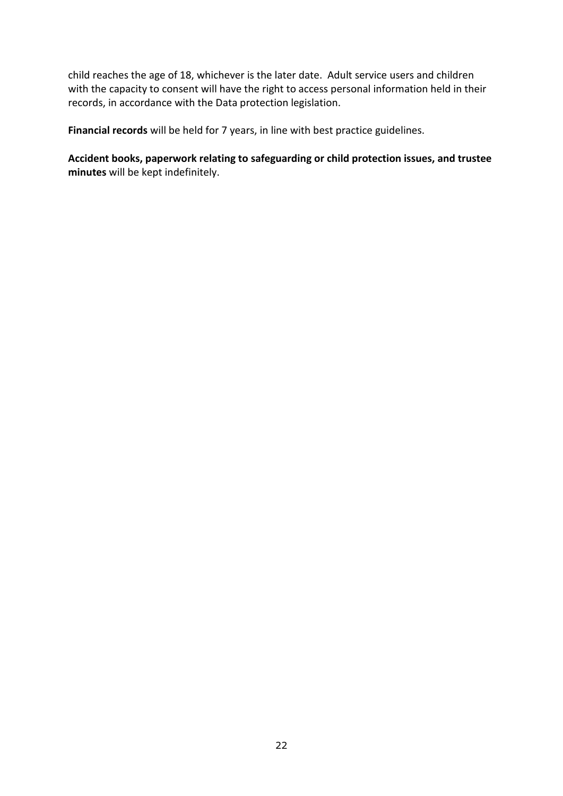child reaches the age of 18, whichever is the later date. Adult service users and children with the capacity to consent will have the right to access personal information held in their records, in accordance with the Data protection legislation.

**Financial records** will be held for 7 years, in line with best practice guidelines.

**Accident books, paperwork relating to safeguarding or child protection issues, and trustee minutes** will be kept indefinitely.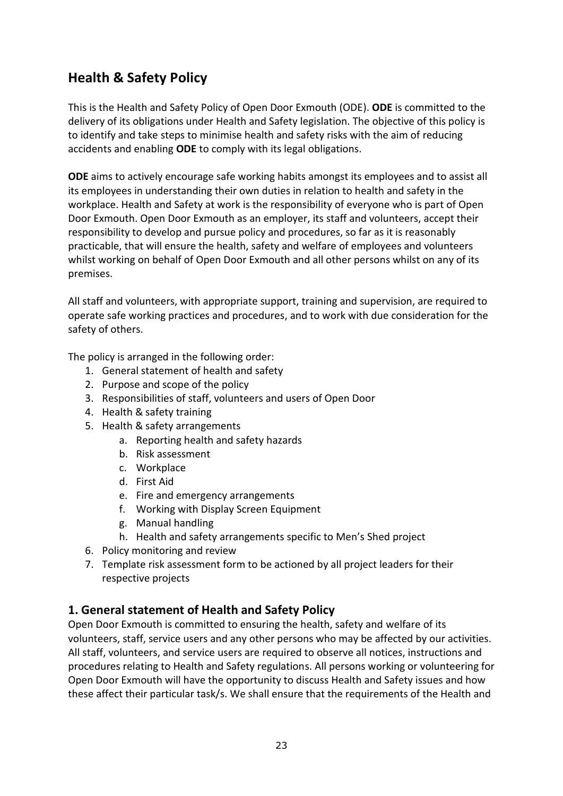# **Health & Safety Policy**

This is the Health and Safety Policy of Open Door Exmouth (ODE). **ODE** is committed to the delivery of its obligations under Health and Safety legislation. The objective of this policy is to identify and take steps to minimise health and safety risks with the aim of reducing accidents and enabling **ODE** to comply with its legal obligations.

**ODE** aims to actively encourage safe working habits amongst its employees and to assist all its employees in understanding their own duties in relation to health and safety in the workplace. Health and Safety at work is the responsibility of everyone who is part of Open Door Exmouth. Open Door Exmouth as an employer, its staff and volunteers, accept their responsibility to develop and pursue policy and procedures, so far as it is reasonably practicable, that will ensure the health, safety and welfare of employees and volunteers whilst working on behalf of Open Door Exmouth and all other persons whilst on any of its premises.

All staff and volunteers, with appropriate support, training and supervision, are required to operate safe working practices and procedures, and to work with due consideration for the safety of others.

The policy is arranged in the following order:

- 1. General statement of health and safety
- 2. Purpose and scope of the policy
- 3. Responsibilities of staff, volunteers and users of Open Door
- 4. Health & safety training
- 5. Health & safety arrangements
	- a. Reporting health and safety hazards
	- b. Risk assessment
	- c. Workplace
	- d. First Aid
	- e. Fire and emergency arrangements
	- f. Working with Display Screen Equipment
	- g. Manual handling
	- h. Health and safety arrangements specific to Men's Shed project
- 6. Policy monitoring and review
- 7. Template risk assessment form to be actioned by all project leaders for their respective projects

### **1. General statement of Health and Safety Policy**

Open Door Exmouth is committed to ensuring the health, safety and welfare of its volunteers, staff, service users and any other persons who may be affected by our activities. All staff, volunteers, and service users are required to observe all notices, instructions and procedures relating to Health and Safety regulations. All persons working or volunteering for Open Door Exmouth will have the opportunity to discuss Health and Safety issues and how these affect their particular task/s. We shall ensure that the requirements of the Health and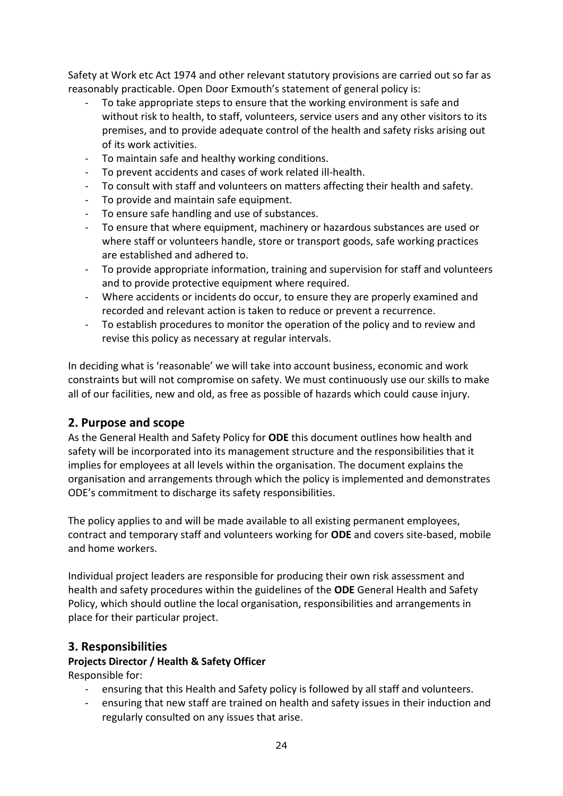Safety at Work etc Act 1974 and other relevant statutory provisions are carried out so far as reasonably practicable. Open Door Exmouth's statement of general policy is:

- To take appropriate steps to ensure that the working environment is safe and without risk to health, to staff, volunteers, service users and any other visitors to its premises, and to provide adequate control of the health and safety risks arising out of its work activities.
- To maintain safe and healthy working conditions.
- To prevent accidents and cases of work related ill-health.
- To consult with staff and volunteers on matters affecting their health and safety.
- To provide and maintain safe equipment.
- To ensure safe handling and use of substances.
- To ensure that where equipment, machinery or hazardous substances are used or where staff or volunteers handle, store or transport goods, safe working practices are established and adhered to.
- To provide appropriate information, training and supervision for staff and volunteers and to provide protective equipment where required.
- Where accidents or incidents do occur, to ensure they are properly examined and recorded and relevant action is taken to reduce or prevent a recurrence.
- To establish procedures to monitor the operation of the policy and to review and revise this policy as necessary at regular intervals.

In deciding what is 'reasonable' we will take into account business, economic and work constraints but will not compromise on safety. We must continuously use our skills to make all of our facilities, new and old, as free as possible of hazards which could cause injury.

# **2. Purpose and scope**

As the General Health and Safety Policy for **ODE** this document outlines how health and safety will be incorporated into its management structure and the responsibilities that it implies for employees at all levels within the organisation. The document explains the organisation and arrangements through which the policy is implemented and demonstrates ODE's commitment to discharge its safety responsibilities.

The policy applies to and will be made available to all existing permanent employees, contract and temporary staff and volunteers working for **ODE** and covers site-based, mobile and home workers.

Individual project leaders are responsible for producing their own risk assessment and health and safety procedures within the guidelines of the **ODE** General Health and Safety Policy, which should outline the local organisation, responsibilities and arrangements in place for their particular project.

# **3. Responsibilities**

# **Projects Director / Health & Safety Officer**

Responsible for:

- ensuring that this Health and Safety policy is followed by all staff and volunteers.
- ensuring that new staff are trained on health and safety issues in their induction and regularly consulted on any issues that arise.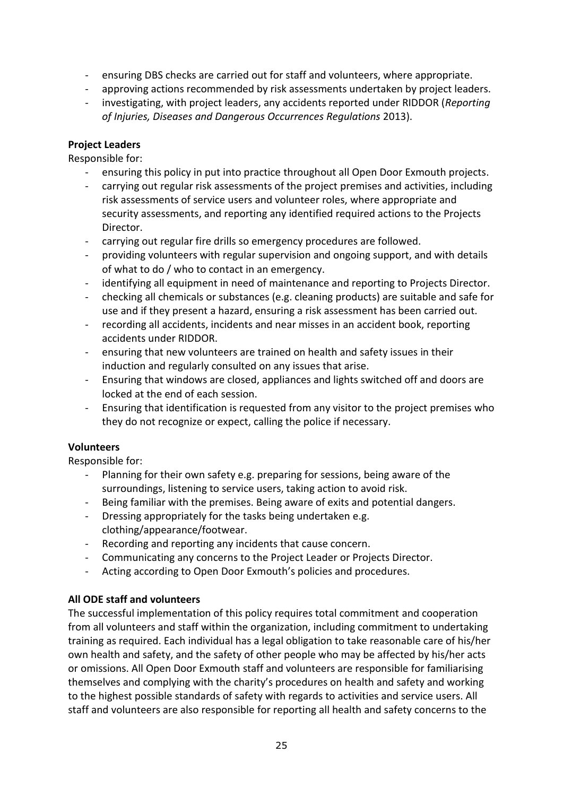- ensuring DBS checks are carried out for staff and volunteers, where appropriate.
- approving actions recommended by risk assessments undertaken by project leaders.
- investigating, with project leaders, any accidents reported under RIDDOR (*Reporting of Injuries, Diseases and Dangerous Occurrences Regulations* 2013).

### **Project Leaders**

Responsible for:

- ensuring this policy in put into practice throughout all Open Door Exmouth projects.
- carrying out regular risk assessments of the project premises and activities, including risk assessments of service users and volunteer roles, where appropriate and security assessments, and reporting any identified required actions to the Projects Director.
- carrying out regular fire drills so emergency procedures are followed.
- providing volunteers with regular supervision and ongoing support, and with details of what to do / who to contact in an emergency.
- identifying all equipment in need of maintenance and reporting to Projects Director.
- checking all chemicals or substances (e.g. cleaning products) are suitable and safe for use and if they present a hazard, ensuring a risk assessment has been carried out.
- recording all accidents, incidents and near misses in an accident book, reporting accidents under RIDDOR.
- ensuring that new volunteers are trained on health and safety issues in their induction and regularly consulted on any issues that arise.
- Ensuring that windows are closed, appliances and lights switched off and doors are locked at the end of each session.
- Ensuring that identification is requested from any visitor to the project premises who they do not recognize or expect, calling the police if necessary.

# **Volunteers**

Responsible for:

- Planning for their own safety e.g. preparing for sessions, being aware of the surroundings, listening to service users, taking action to avoid risk.
- Being familiar with the premises. Being aware of exits and potential dangers.
- Dressing appropriately for the tasks being undertaken e.g. clothing/appearance/footwear.
- Recording and reporting any incidents that cause concern.
- Communicating any concerns to the Project Leader or Projects Director.
- Acting according to Open Door Exmouth's policies and procedures.

### **All ODE staff and volunteers**

The successful implementation of this policy requires total commitment and cooperation from all volunteers and staff within the organization, including commitment to undertaking training as required. Each individual has a legal obligation to take reasonable care of his/her own health and safety, and the safety of other people who may be affected by his/her acts or omissions. All Open Door Exmouth staff and volunteers are responsible for familiarising themselves and complying with the charity's procedures on health and safety and working to the highest possible standards of safety with regards to activities and service users. All staff and volunteers are also responsible for reporting all health and safety concerns to the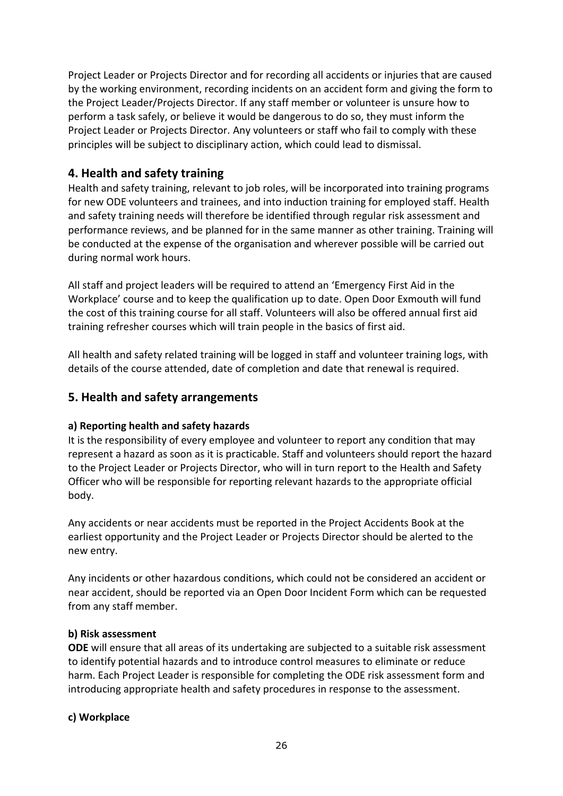Project Leader or Projects Director and for recording all accidents or injuries that are caused by the working environment, recording incidents on an accident form and giving the form to the Project Leader/Projects Director. If any staff member or volunteer is unsure how to perform a task safely, or believe it would be dangerous to do so, they must inform the Project Leader or Projects Director. Any volunteers or staff who fail to comply with these principles will be subject to disciplinary action, which could lead to dismissal.

# **4. Health and safety training**

Health and safety training, relevant to job roles, will be incorporated into training programs for new ODE volunteers and trainees, and into induction training for employed staff. Health and safety training needs will therefore be identified through regular risk assessment and performance reviews, and be planned for in the same manner as other training. Training will be conducted at the expense of the organisation and wherever possible will be carried out during normal work hours.

All staff and project leaders will be required to attend an 'Emergency First Aid in the Workplace' course and to keep the qualification up to date. Open Door Exmouth will fund the cost of this training course for all staff. Volunteers will also be offered annual first aid training refresher courses which will train people in the basics of first aid.

All health and safety related training will be logged in staff and volunteer training logs, with details of the course attended, date of completion and date that renewal is required.

# **5. Health and safety arrangements**

### **a) Reporting health and safety hazards**

It is the responsibility of every employee and volunteer to report any condition that may represent a hazard as soon as it is practicable. Staff and volunteers should report the hazard to the Project Leader or Projects Director, who will in turn report to the Health and Safety Officer who will be responsible for reporting relevant hazards to the appropriate official body.

Any accidents or near accidents must be reported in the Project Accidents Book at the earliest opportunity and the Project Leader or Projects Director should be alerted to the new entry.

Any incidents or other hazardous conditions, which could not be considered an accident or near accident, should be reported via an Open Door Incident Form which can be requested from any staff member.

### **b) Risk assessment**

**ODE** will ensure that all areas of its undertaking are subjected to a suitable risk assessment to identify potential hazards and to introduce control measures to eliminate or reduce harm. Each Project Leader is responsible for completing the ODE risk assessment form and introducing appropriate health and safety procedures in response to the assessment.

### **c) Workplace**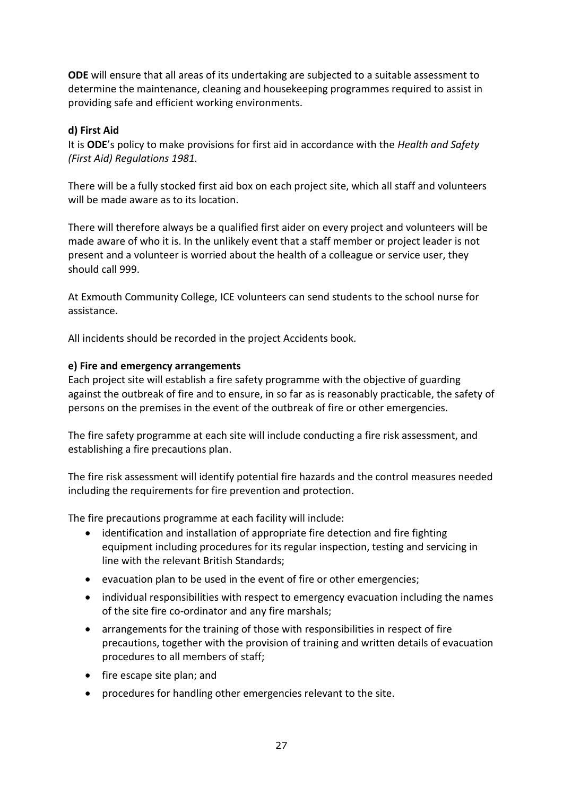**ODE** will ensure that all areas of its undertaking are subjected to a suitable assessment to determine the maintenance, cleaning and housekeeping programmes required to assist in providing safe and efficient working environments.

### **d) First Aid**

It is **ODE**'s policy to make provisions for first aid in accordance with the *Health and Safety (First Aid) Regulations 1981.*

There will be a fully stocked first aid box on each project site, which all staff and volunteers will be made aware as to its location.

There will therefore always be a qualified first aider on every project and volunteers will be made aware of who it is. In the unlikely event that a staff member or project leader is not present and a volunteer is worried about the health of a colleague or service user, they should call 999.

At Exmouth Community College, ICE volunteers can send students to the school nurse for assistance.

All incidents should be recorded in the project Accidents book.

### **e) Fire and emergency arrangements**

Each project site will establish a fire safety programme with the objective of guarding against the outbreak of fire and to ensure, in so far as is reasonably practicable, the safety of persons on the premises in the event of the outbreak of fire or other emergencies.

The fire safety programme at each site will include conducting a fire risk assessment, and establishing a fire precautions plan.

The fire risk assessment will identify potential fire hazards and the control measures needed including the requirements for fire prevention and protection.

The fire precautions programme at each facility will include:

- identification and installation of appropriate fire detection and fire fighting equipment including procedures for its regular inspection, testing and servicing in line with the relevant British Standards;
- evacuation plan to be used in the event of fire or other emergencies;
- individual responsibilities with respect to emergency evacuation including the names of the site fire co-ordinator and any fire marshals;
- arrangements for the training of those with responsibilities in respect of fire precautions, together with the provision of training and written details of evacuation procedures to all members of staff;
- fire escape site plan; and
- procedures for handling other emergencies relevant to the site.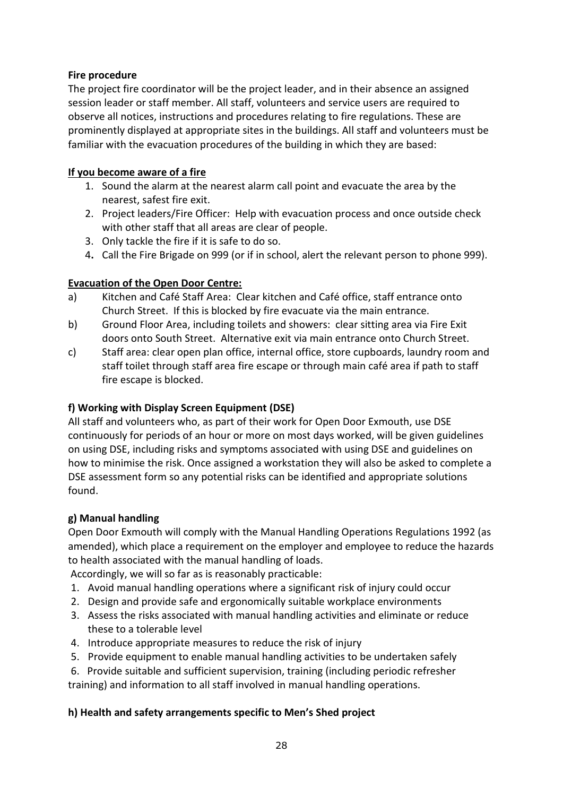### **Fire procedure**

The project fire coordinator will be the project leader, and in their absence an assigned session leader or staff member. All staff, volunteers and service users are required to observe all notices, instructions and procedures relating to fire regulations. These are prominently displayed at appropriate sites in the buildings. All staff and volunteers must be familiar with the evacuation procedures of the building in which they are based:

### **If you become aware of a fire**

- 1. Sound the alarm at the nearest alarm call point and evacuate the area by the nearest, safest fire exit.
- 2. Project leaders/Fire Officer: Help with evacuation process and once outside check with other staff that all areas are clear of people.
- 3. Only tackle the fire if it is safe to do so.
- 4**.** Call the Fire Brigade on 999 (or if in school, alert the relevant person to phone 999).

### **Evacuation of the Open Door Centre:**

- a) Kitchen and Café Staff Area: Clear kitchen and Café office, staff entrance onto Church Street. If this is blocked by fire evacuate via the main entrance.
- b) Ground Floor Area, including toilets and showers: clear sitting area via Fire Exit doors onto South Street. Alternative exit via main entrance onto Church Street.
- c) Staff area: clear open plan office, internal office, store cupboards, laundry room and staff toilet through staff area fire escape or through main café area if path to staff fire escape is blocked.

# **f) Working with Display Screen Equipment (DSE)**

All staff and volunteers who, as part of their work for Open Door Exmouth, use DSE continuously for periods of an hour or more on most days worked, will be given guidelines on using DSE, including risks and symptoms associated with using DSE and guidelines on how to minimise the risk. Once assigned a workstation they will also be asked to complete a DSE assessment form so any potential risks can be identified and appropriate solutions found.

### **g) Manual handling**

Open Door Exmouth will comply with the Manual Handling Operations Regulations 1992 (as amended), which place a requirement on the employer and employee to reduce the hazards to health associated with the manual handling of loads.

Accordingly, we will so far as is reasonably practicable:

- 1. Avoid manual handling operations where a significant risk of injury could occur
- 2. Design and provide safe and ergonomically suitable workplace environments
- 3. Assess the risks associated with manual handling activities and eliminate or reduce these to a tolerable level
- 4. Introduce appropriate measures to reduce the risk of injury
- 5. Provide equipment to enable manual handling activities to be undertaken safely
- 6. Provide suitable and sufficient supervision, training (including periodic refresher training) and information to all staff involved in manual handling operations.

# **h) Health and safety arrangements specific to Men's Shed project**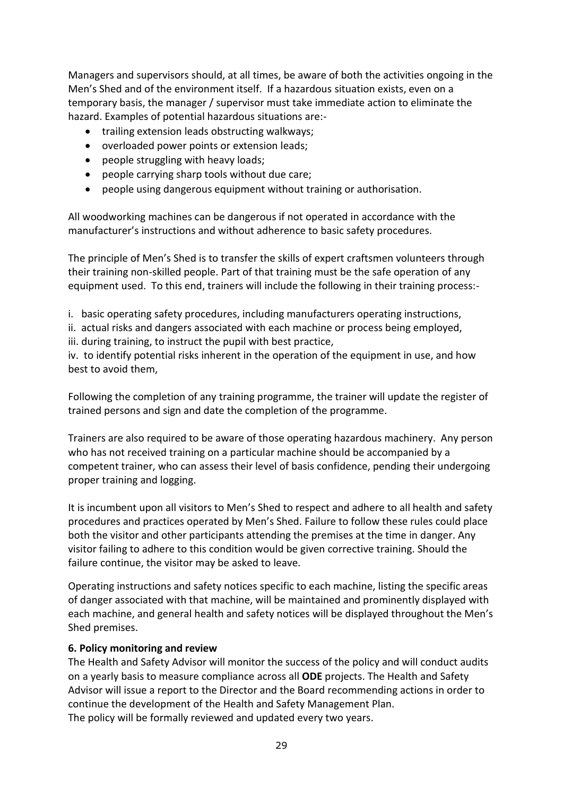Managers and supervisors should, at all times, be aware of both the activities ongoing in the Men's Shed and of the environment itself. If a hazardous situation exists, even on a temporary basis, the manager / supervisor must take immediate action to eliminate the hazard. Examples of potential hazardous situations are:-

- trailing extension leads obstructing walkways;
- overloaded power points or extension leads;
- people struggling with heavy loads;
- people carrying sharp tools without due care;
- people using dangerous equipment without training or authorisation.

All woodworking machines can be dangerous if not operated in accordance with the manufacturer's instructions and without adherence to basic safety procedures.

The principle of Men's Shed is to transfer the skills of expert craftsmen volunteers through their training non-skilled people. Part of that training must be the safe operation of any equipment used. To this end, trainers will include the following in their training process:-

i. basic operating safety procedures, including manufacturers operating instructions,

ii. actual risks and dangers associated with each machine or process being employed, iii. during training, to instruct the pupil with best practice,

iv. to identify potential risks inherent in the operation of the equipment in use, and how best to avoid them,

Following the completion of any training programme, the trainer will update the register of trained persons and sign and date the completion of the programme.

Trainers are also required to be aware of those operating hazardous machinery. Any person who has not received training on a particular machine should be accompanied by a competent trainer, who can assess their level of basis confidence, pending their undergoing proper training and logging.

It is incumbent upon all visitors to Men's Shed to respect and adhere to all health and safety procedures and practices operated by Men's Shed. Failure to follow these rules could place both the visitor and other participants attending the premises at the time in danger. Any visitor failing to adhere to this condition would be given corrective training. Should the failure continue, the visitor may be asked to leave.

Operating instructions and safety notices specific to each machine, listing the specific areas of danger associated with that machine, will be maintained and prominently displayed with each machine, and general health and safety notices will be displayed throughout the Men's Shed premises.

### **6. Policy monitoring and review**

The Health and Safety Advisor will monitor the success of the policy and will conduct audits on a yearly basis to measure compliance across all **ODE** projects. The Health and Safety Advisor will issue a report to the Director and the Board recommending actions in order to continue the development of the Health and Safety Management Plan. The policy will be formally reviewed and updated every two years.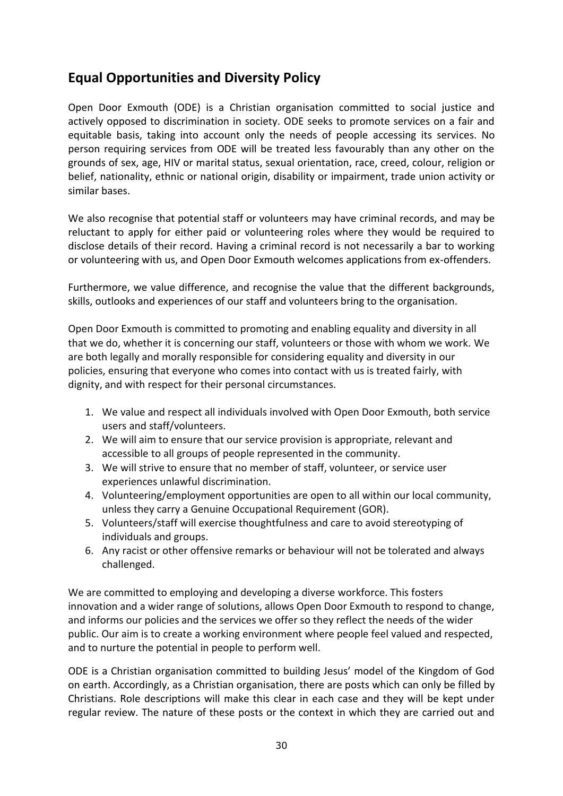# **Equal Opportunities and Diversity Policy**

Open Door Exmouth (ODE) is a Christian organisation committed to social justice and actively opposed to discrimination in society. ODE seeks to promote services on a fair and equitable basis, taking into account only the needs of people accessing its services. No person requiring services from ODE will be treated less favourably than any other on the grounds of sex, age, HIV or marital status, sexual orientation, race, creed, colour, religion or belief, nationality, ethnic or national origin, disability or impairment, trade union activity or similar bases.

We also recognise that potential staff or volunteers may have criminal records, and may be reluctant to apply for either paid or volunteering roles where they would be required to disclose details of their record. Having a criminal record is not necessarily a bar to working or volunteering with us, and Open Door Exmouth welcomes applications from ex-offenders.

Furthermore, we value difference, and recognise the value that the different backgrounds, skills, outlooks and experiences of our staff and volunteers bring to the organisation.

Open Door Exmouth is committed to promoting and enabling equality and diversity in all that we do, whether it is concerning our staff, volunteers or those with whom we work. We are both legally and morally responsible for considering equality and diversity in our policies, ensuring that everyone who comes into contact with us is treated fairly, with dignity, and with respect for their personal circumstances.

- 1. We value and respect all individuals involved with Open Door Exmouth, both service users and staff/volunteers.
- 2. We will aim to ensure that our service provision is appropriate, relevant and accessible to all groups of people represented in the community.
- 3. We will strive to ensure that no member of staff, volunteer, or service user experiences unlawful discrimination.
- 4. Volunteering/employment opportunities are open to all within our local community, unless they carry a Genuine Occupational Requirement (GOR).
- 5. Volunteers/staff will exercise thoughtfulness and care to avoid stereotyping of individuals and groups.
- 6. Any racist or other offensive remarks or behaviour will not be tolerated and always challenged.

We are committed to employing and developing a diverse workforce. This fosters innovation and a wider range of solutions, allows Open Door Exmouth to respond to change, and informs our policies and the services we offer so they reflect the needs of the wider public. Our aim is to create a working environment where people feel valued and respected, and to nurture the potential in people to perform well.

ODE is a Christian organisation committed to building Jesus' model of the Kingdom of God on earth. Accordingly, as a Christian organisation, there are posts which can only be filled by Christians. Role descriptions will make this clear in each case and they will be kept under regular review. The nature of these posts or the context in which they are carried out and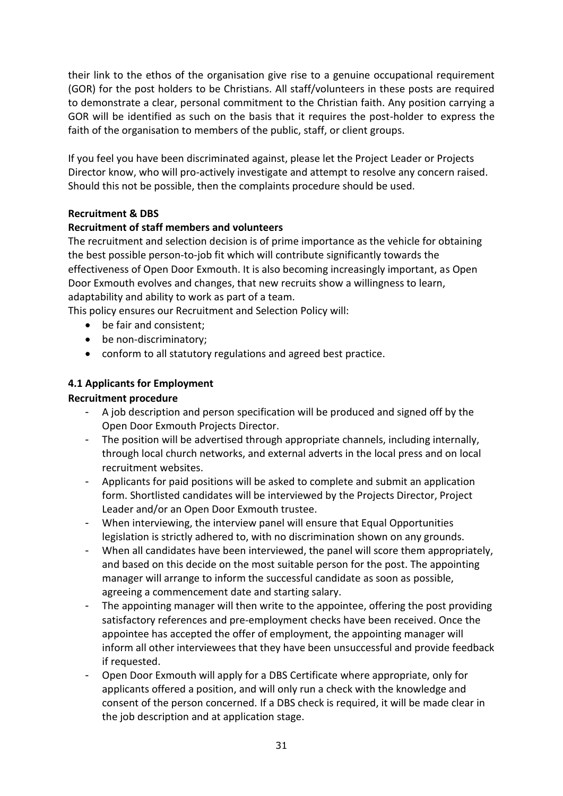their link to the ethos of the organisation give rise to a genuine occupational requirement (GOR) for the post holders to be Christians. All staff/volunteers in these posts are required to demonstrate a clear, personal commitment to the Christian faith. Any position carrying a GOR will be identified as such on the basis that it requires the post-holder to express the faith of the organisation to members of the public, staff, or client groups.

If you feel you have been discriminated against, please let the Project Leader or Projects Director know, who will pro-actively investigate and attempt to resolve any concern raised. Should this not be possible, then the complaints procedure should be used.

# **Recruitment & DBS**

# **Recruitment of staff members and volunteers**

The recruitment and selection decision is of prime importance as the vehicle for obtaining the best possible person-to-job fit which will contribute significantly towards the effectiveness of Open Door Exmouth. It is also becoming increasingly important, as Open Door Exmouth evolves and changes, that new recruits show a willingness to learn, adaptability and ability to work as part of a team.

This policy ensures our Recruitment and Selection Policy will:

- be fair and consistent;
- be non-discriminatory:
- conform to all statutory regulations and agreed best practice.

# **4.1 Applicants for Employment**

# **Recruitment procedure**

- A job description and person specification will be produced and signed off by the Open Door Exmouth Projects Director.
- The position will be advertised through appropriate channels, including internally, through local church networks, and external adverts in the local press and on local recruitment websites.
- Applicants for paid positions will be asked to complete and submit an application form. Shortlisted candidates will be interviewed by the Projects Director, Project Leader and/or an Open Door Exmouth trustee.
- When interviewing, the interview panel will ensure that Equal Opportunities legislation is strictly adhered to, with no discrimination shown on any grounds.
- When all candidates have been interviewed, the panel will score them appropriately, and based on this decide on the most suitable person for the post. The appointing manager will arrange to inform the successful candidate as soon as possible, agreeing a commencement date and starting salary.
- The appointing manager will then write to the appointee, offering the post providing satisfactory references and pre-employment checks have been received. Once the appointee has accepted the offer of employment, the appointing manager will inform all other interviewees that they have been unsuccessful and provide feedback if requested.
- Open Door Exmouth will apply for a DBS Certificate where appropriate, only for applicants offered a position, and will only run a check with the knowledge and consent of the person concerned. If a DBS check is required, it will be made clear in the job description and at application stage.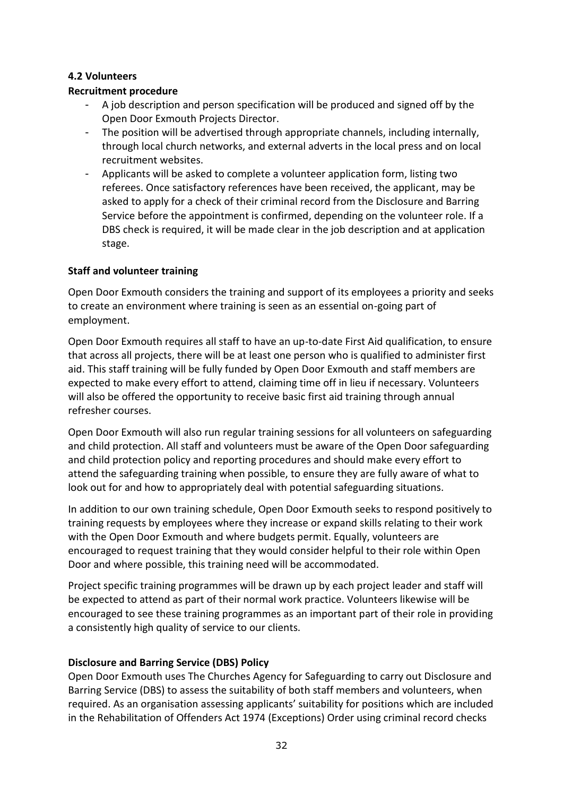### **4.2 Volunteers**

### **Recruitment procedure**

- A job description and person specification will be produced and signed off by the Open Door Exmouth Projects Director.
- The position will be advertised through appropriate channels, including internally, through local church networks, and external adverts in the local press and on local recruitment websites.
- Applicants will be asked to complete a volunteer application form, listing two referees. Once satisfactory references have been received, the applicant, may be asked to apply for a check of their criminal record from the Disclosure and Barring Service before the appointment is confirmed, depending on the volunteer role. If a DBS check is required, it will be made clear in the job description and at application stage.

### **Staff and volunteer training**

Open Door Exmouth considers the training and support of its employees a priority and seeks to create an environment where training is seen as an essential on-going part of employment.

Open Door Exmouth requires all staff to have an up-to-date First Aid qualification, to ensure that across all projects, there will be at least one person who is qualified to administer first aid. This staff training will be fully funded by Open Door Exmouth and staff members are expected to make every effort to attend, claiming time off in lieu if necessary. Volunteers will also be offered the opportunity to receive basic first aid training through annual refresher courses.

Open Door Exmouth will also run regular training sessions for all volunteers on safeguarding and child protection. All staff and volunteers must be aware of the Open Door safeguarding and child protection policy and reporting procedures and should make every effort to attend the safeguarding training when possible, to ensure they are fully aware of what to look out for and how to appropriately deal with potential safeguarding situations.

In addition to our own training schedule, Open Door Exmouth seeks to respond positively to training requests by employees where they increase or expand skills relating to their work with the Open Door Exmouth and where budgets permit. Equally, volunteers are encouraged to request training that they would consider helpful to their role within Open Door and where possible, this training need will be accommodated.

Project specific training programmes will be drawn up by each project leader and staff will be expected to attend as part of their normal work practice. Volunteers likewise will be encouraged to see these training programmes as an important part of their role in providing a consistently high quality of service to our clients.

### **Disclosure and Barring Service (DBS) Policy**

Open Door Exmouth uses The Churches Agency for Safeguarding to carry out Disclosure and Barring Service (DBS) to assess the suitability of both staff members and volunteers, when required. As an organisation assessing applicants' suitability for positions which are included in the Rehabilitation of Offenders Act 1974 (Exceptions) Order using criminal record checks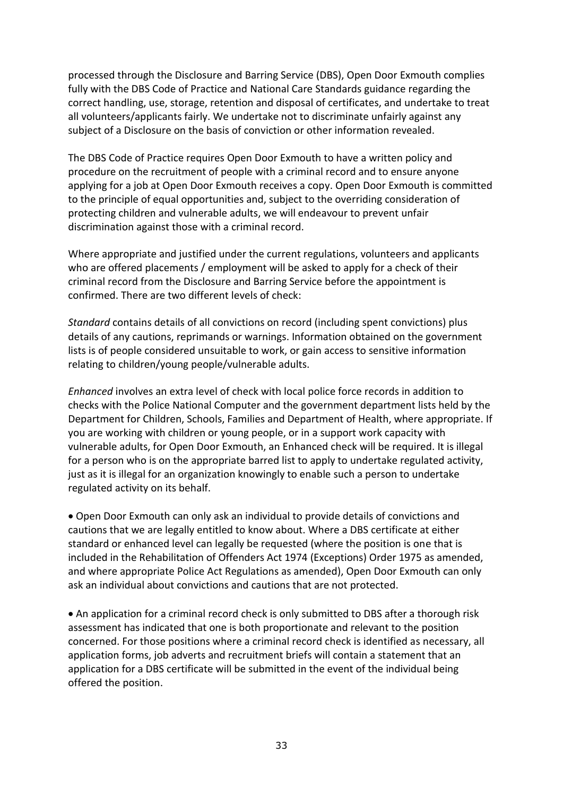processed through the Disclosure and Barring Service (DBS), Open Door Exmouth complies fully with the DBS Code of Practice and National Care Standards guidance regarding the correct handling, use, storage, retention and disposal of certificates, and undertake to treat all volunteers/applicants fairly. We undertake not to discriminate unfairly against any subject of a Disclosure on the basis of conviction or other information revealed.

The DBS Code of Practice requires Open Door Exmouth to have a written policy and procedure on the recruitment of people with a criminal record and to ensure anyone applying for a job at Open Door Exmouth receives a copy. Open Door Exmouth is committed to the principle of equal opportunities and, subject to the overriding consideration of protecting children and vulnerable adults, we will endeavour to prevent unfair discrimination against those with a criminal record.

Where appropriate and justified under the current regulations, volunteers and applicants who are offered placements / employment will be asked to apply for a check of their criminal record from the Disclosure and Barring Service before the appointment is confirmed. There are two different levels of check:

*Standard* contains details of all convictions on record (including spent convictions) plus details of any cautions, reprimands or warnings. Information obtained on the government lists is of people considered unsuitable to work, or gain access to sensitive information relating to children/young people/vulnerable adults.

*Enhanced* involves an extra level of check with local police force records in addition to checks with the Police National Computer and the government department lists held by the Department for Children, Schools, Families and Department of Health, where appropriate. If you are working with children or young people, or in a support work capacity with vulnerable adults, for Open Door Exmouth, an Enhanced check will be required. It is illegal for a person who is on the appropriate barred list to apply to undertake regulated activity, just as it is illegal for an organization knowingly to enable such a person to undertake regulated activity on its behalf.

• Open Door Exmouth can only ask an individual to provide details of convictions and cautions that we are legally entitled to know about. Where a DBS certificate at either standard or enhanced level can legally be requested (where the position is one that is included in the Rehabilitation of Offenders Act 1974 (Exceptions) Order 1975 as amended, and where appropriate Police Act Regulations as amended), Open Door Exmouth can only ask an individual about convictions and cautions that are not protected.

• An application for a criminal record check is only submitted to DBS after a thorough risk assessment has indicated that one is both proportionate and relevant to the position concerned. For those positions where a criminal record check is identified as necessary, all application forms, job adverts and recruitment briefs will contain a statement that an application for a DBS certificate will be submitted in the event of the individual being offered the position.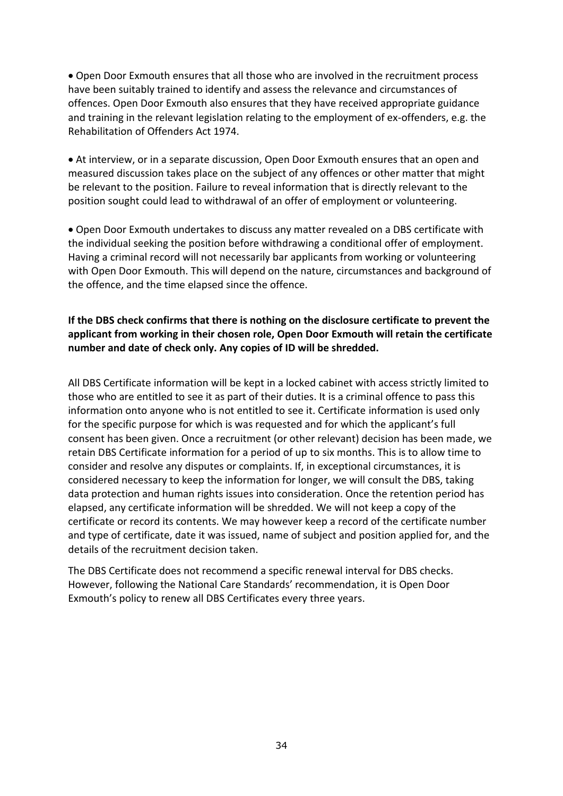• Open Door Exmouth ensures that all those who are involved in the recruitment process have been suitably trained to identify and assess the relevance and circumstances of offences. Open Door Exmouth also ensures that they have received appropriate guidance and training in the relevant legislation relating to the employment of ex-offenders, e.g. the Rehabilitation of Offenders Act 1974.

• At interview, or in a separate discussion, Open Door Exmouth ensures that an open and measured discussion takes place on the subject of any offences or other matter that might be relevant to the position. Failure to reveal information that is directly relevant to the position sought could lead to withdrawal of an offer of employment or volunteering.

• Open Door Exmouth undertakes to discuss any matter revealed on a DBS certificate with the individual seeking the position before withdrawing a conditional offer of employment. Having a criminal record will not necessarily bar applicants from working or volunteering with Open Door Exmouth. This will depend on the nature, circumstances and background of the offence, and the time elapsed since the offence.

### **If the DBS check confirms that there is nothing on the disclosure certificate to prevent the applicant from working in their chosen role, Open Door Exmouth will retain the certificate number and date of check only. Any copies of ID will be shredded.**

All DBS Certificate information will be kept in a locked cabinet with access strictly limited to those who are entitled to see it as part of their duties. It is a criminal offence to pass this information onto anyone who is not entitled to see it. Certificate information is used only for the specific purpose for which is was requested and for which the applicant's full consent has been given. Once a recruitment (or other relevant) decision has been made, we retain DBS Certificate information for a period of up to six months. This is to allow time to consider and resolve any disputes or complaints. If, in exceptional circumstances, it is considered necessary to keep the information for longer, we will consult the DBS, taking data protection and human rights issues into consideration. Once the retention period has elapsed, any certificate information will be shredded. We will not keep a copy of the certificate or record its contents. We may however keep a record of the certificate number and type of certificate, date it was issued, name of subject and position applied for, and the details of the recruitment decision taken.

The DBS Certificate does not recommend a specific renewal interval for DBS checks. However, following the National Care Standards' recommendation, it is Open Door Exmouth's policy to renew all DBS Certificates every three years.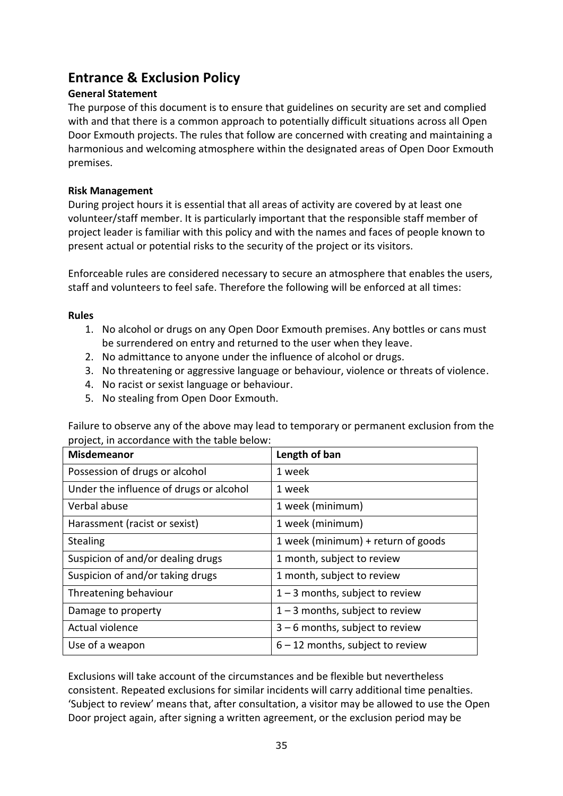# **Entrance & Exclusion Policy**

### **General Statement**

The purpose of this document is to ensure that guidelines on security are set and complied with and that there is a common approach to potentially difficult situations across all Open Door Exmouth projects. The rules that follow are concerned with creating and maintaining a harmonious and welcoming atmosphere within the designated areas of Open Door Exmouth premises.

### **Risk Management**

During project hours it is essential that all areas of activity are covered by at least one volunteer/staff member. It is particularly important that the responsible staff member of project leader is familiar with this policy and with the names and faces of people known to present actual or potential risks to the security of the project or its visitors.

Enforceable rules are considered necessary to secure an atmosphere that enables the users, staff and volunteers to feel safe. Therefore the following will be enforced at all times:

### **Rules**

- 1. No alcohol or drugs on any Open Door Exmouth premises. Any bottles or cans must be surrendered on entry and returned to the user when they leave.
- 2. No admittance to anyone under the influence of alcohol or drugs.
- 3. No threatening or aggressive language or behaviour, violence or threats of violence.
- 4. No racist or sexist language or behaviour.
- 5. No stealing from Open Door Exmouth.

Failure to observe any of the above may lead to temporary or permanent exclusion from the project, in accordance with the table below:

| <b>Misdemeanor</b>                      | Length of ban                      |
|-----------------------------------------|------------------------------------|
| Possession of drugs or alcohol          | 1 week                             |
| Under the influence of drugs or alcohol | 1 week                             |
| Verbal abuse                            | 1 week (minimum)                   |
| Harassment (racist or sexist)           | 1 week (minimum)                   |
| <b>Stealing</b>                         | 1 week (minimum) + return of goods |
| Suspicion of and/or dealing drugs       | 1 month, subject to review         |
| Suspicion of and/or taking drugs        | 1 month, subject to review         |
| Threatening behaviour                   | $1 - 3$ months, subject to review  |
| Damage to property                      | $1 - 3$ months, subject to review  |
| Actual violence                         | $3 - 6$ months, subject to review  |
| Use of a weapon                         | $6 - 12$ months, subject to review |

Exclusions will take account of the circumstances and be flexible but nevertheless consistent. Repeated exclusions for similar incidents will carry additional time penalties. 'Subject to review' means that, after consultation, a visitor may be allowed to use the Open Door project again, after signing a written agreement, or the exclusion period may be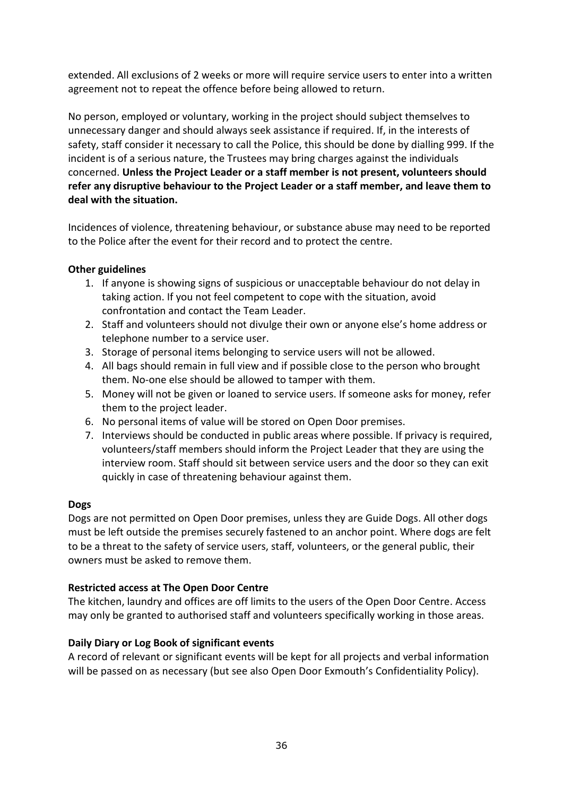extended. All exclusions of 2 weeks or more will require service users to enter into a written agreement not to repeat the offence before being allowed to return.

No person, employed or voluntary, working in the project should subject themselves to unnecessary danger and should always seek assistance if required. If, in the interests of safety, staff consider it necessary to call the Police, this should be done by dialling 999. If the incident is of a serious nature, the Trustees may bring charges against the individuals concerned. **Unless the Project Leader or a staff member is not present, volunteers should refer any disruptive behaviour to the Project Leader or a staff member, and leave them to deal with the situation.**

Incidences of violence, threatening behaviour, or substance abuse may need to be reported to the Police after the event for their record and to protect the centre.

### **Other guidelines**

- 1. If anyone is showing signs of suspicious or unacceptable behaviour do not delay in taking action. If you not feel competent to cope with the situation, avoid confrontation and contact the Team Leader.
- 2. Staff and volunteers should not divulge their own or anyone else's home address or telephone number to a service user.
- 3. Storage of personal items belonging to service users will not be allowed.
- 4. All bags should remain in full view and if possible close to the person who brought them. No-one else should be allowed to tamper with them.
- 5. Money will not be given or loaned to service users. If someone asks for money, refer them to the project leader.
- 6. No personal items of value will be stored on Open Door premises.
- 7. Interviews should be conducted in public areas where possible. If privacy is required, volunteers/staff members should inform the Project Leader that they are using the interview room. Staff should sit between service users and the door so they can exit quickly in case of threatening behaviour against them.

### **Dogs**

Dogs are not permitted on Open Door premises, unless they are Guide Dogs. All other dogs must be left outside the premises securely fastened to an anchor point. Where dogs are felt to be a threat to the safety of service users, staff, volunteers, or the general public, their owners must be asked to remove them.

# **Restricted access at The Open Door Centre**

The kitchen, laundry and offices are off limits to the users of the Open Door Centre. Access may only be granted to authorised staff and volunteers specifically working in those areas.

# **Daily Diary or Log Book of significant events**

A record of relevant or significant events will be kept for all projects and verbal information will be passed on as necessary (but see also Open Door Exmouth's Confidentiality Policy).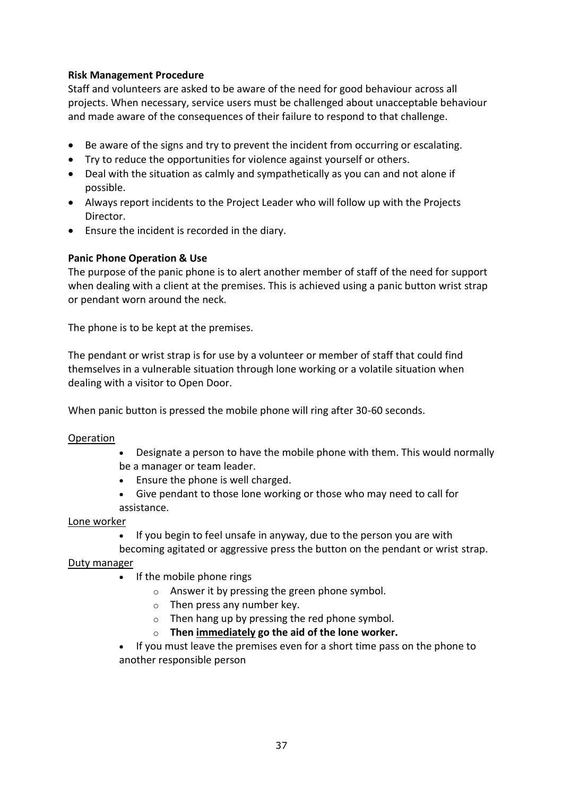### **Risk Management Procedure**

Staff and volunteers are asked to be aware of the need for good behaviour across all projects. When necessary, service users must be challenged about unacceptable behaviour and made aware of the consequences of their failure to respond to that challenge.

- Be aware of the signs and try to prevent the incident from occurring or escalating.
- Try to reduce the opportunities for violence against yourself or others.
- Deal with the situation as calmly and sympathetically as you can and not alone if possible.
- Always report incidents to the Project Leader who will follow up with the Projects Director.
- Ensure the incident is recorded in the diary.

### **Panic Phone Operation & Use**

The purpose of the panic phone is to alert another member of staff of the need for support when dealing with a client at the premises. This is achieved using a panic button wrist strap or pendant worn around the neck.

The phone is to be kept at the premises.

The pendant or wrist strap is for use by a volunteer or member of staff that could find themselves in a vulnerable situation through lone working or a volatile situation when dealing with a visitor to Open Door.

When panic button is pressed the mobile phone will ring after 30-60 seconds.

### **Operation**

- Designate a person to have the mobile phone with them. This would normally be a manager or team leader.
- Ensure the phone is well charged.
- Give pendant to those lone working or those who may need to call for assistance.

### Lone worker

• If you begin to feel unsafe in anyway, due to the person you are with

becoming agitated or aggressive press the button on the pendant or wrist strap. Duty manager

- If the mobile phone rings
	- o Answer it by pressing the green phone symbol.
	- o Then press any number key.
	- o Then hang up by pressing the red phone symbol.
	- o **Then immediately go the aid of the lone worker.**

• If you must leave the premises even for a short time pass on the phone to another responsible person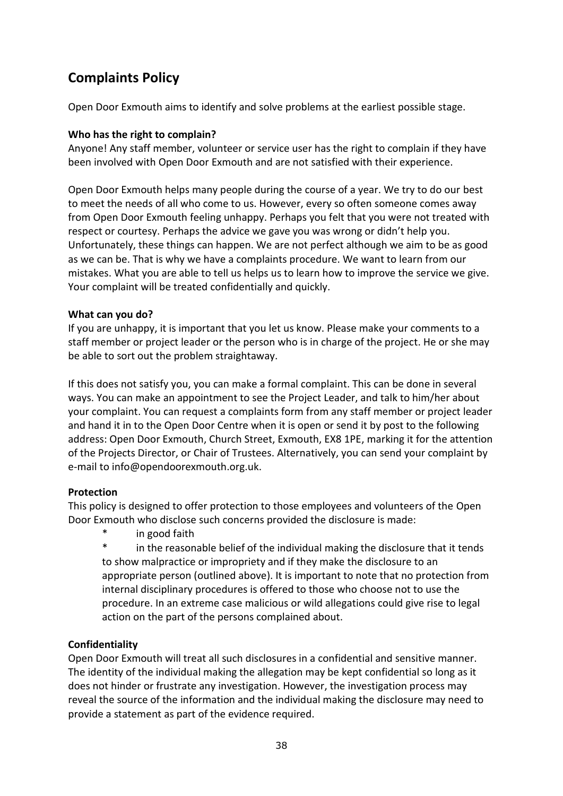# **Complaints Policy**

Open Door Exmouth aims to identify and solve problems at the earliest possible stage.

### **Who has the right to complain?**

Anyone! Any staff member, volunteer or service user has the right to complain if they have been involved with Open Door Exmouth and are not satisfied with their experience.

Open Door Exmouth helps many people during the course of a year. We try to do our best to meet the needs of all who come to us. However, every so often someone comes away from Open Door Exmouth feeling unhappy. Perhaps you felt that you were not treated with respect or courtesy. Perhaps the advice we gave you was wrong or didn't help you. Unfortunately, these things can happen. We are not perfect although we aim to be as good as we can be. That is why we have a complaints procedure. We want to learn from our mistakes. What you are able to tell us helps us to learn how to improve the service we give. Your complaint will be treated confidentially and quickly.

### **What can you do?**

If you are unhappy, it is important that you let us know. Please make your comments to a staff member or project leader or the person who is in charge of the project. He or she may be able to sort out the problem straightaway.

If this does not satisfy you, you can make a formal complaint. This can be done in several ways. You can make an appointment to see the Project Leader, and talk to him/her about your complaint. You can request a complaints form from any staff member or project leader and hand it in to the Open Door Centre when it is open or send it by post to the following address: Open Door Exmouth, Church Street, Exmouth, EX8 1PE, marking it for the attention of the Projects Director, or Chair of Trustees. Alternatively, you can send your complaint by e-mail to inf[o@opendoorexmouth.org.uk.](mailto:helen@opendoorexmouth.org.uk)

### **Protection**

This policy is designed to offer protection to those employees and volunteers of the Open Door Exmouth who disclose such concerns provided the disclosure is made:

in good faith

in the reasonable belief of the individual making the disclosure that it tends to show malpractice or impropriety and if they make the disclosure to an appropriate person (outlined above). It is important to note that no protection from internal disciplinary procedures is offered to those who choose not to use the procedure. In an extreme case malicious or wild allegations could give rise to legal action on the part of the persons complained about.

# **Confidentiality**

Open Door Exmouth will treat all such disclosures in a confidential and sensitive manner. The identity of the individual making the allegation may be kept confidential so long as it does not hinder or frustrate any investigation. However, the investigation process may reveal the source of the information and the individual making the disclosure may need to provide a statement as part of the evidence required.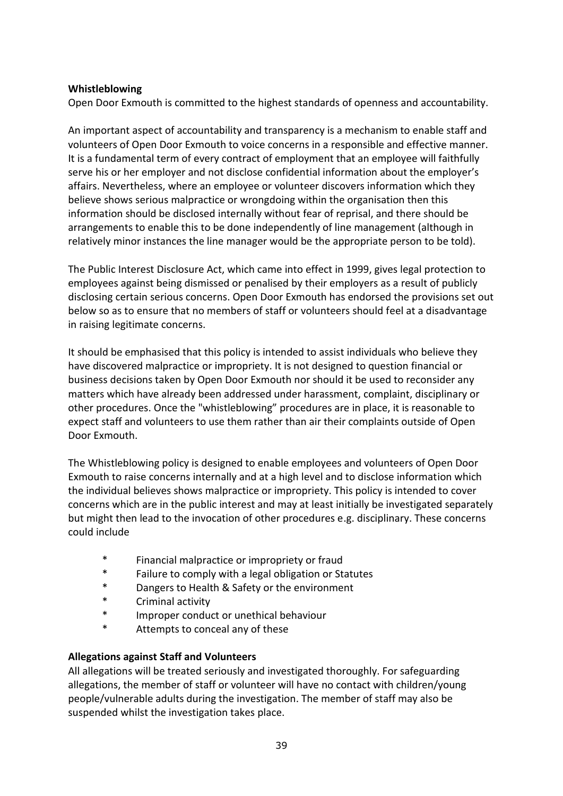### **Whistleblowing**

Open Door Exmouth is committed to the highest standards of openness and accountability.

An important aspect of accountability and transparency is a mechanism to enable staff and volunteers of Open Door Exmouth to voice concerns in a responsible and effective manner. It is a fundamental term of every contract of employment that an employee will faithfully serve his or her employer and not disclose confidential information about the employer's affairs. Nevertheless, where an employee or volunteer discovers information which they believe shows serious malpractice or wrongdoing within the organisation then this information should be disclosed internally without fear of reprisal, and there should be arrangements to enable this to be done independently of line management (although in relatively minor instances the line manager would be the appropriate person to be told).

The Public Interest Disclosure Act, which came into effect in 1999, gives legal protection to employees against being dismissed or penalised by their employers as a result of publicly disclosing certain serious concerns. Open Door Exmouth has endorsed the provisions set out below so as to ensure that no members of staff or volunteers should feel at a disadvantage in raising legitimate concerns.

It should be emphasised that this policy is intended to assist individuals who believe they have discovered malpractice or impropriety. It is not designed to question financial or business decisions taken by Open Door Exmouth nor should it be used to reconsider any matters which have already been addressed under harassment, complaint, disciplinary or other procedures. Once the "whistleblowing" procedures are in place, it is reasonable to expect staff and volunteers to use them rather than air their complaints outside of Open Door Exmouth.

The Whistleblowing policy is designed to enable employees and volunteers of Open Door Exmouth to raise concerns internally and at a high level and to disclose information which the individual believes shows malpractice or impropriety. This policy is intended to cover concerns which are in the public interest and may at least initially be investigated separately but might then lead to the invocation of other procedures e.g. disciplinary. These concerns could include

- \* Financial malpractice or impropriety or fraud
- \* Failure to comply with a legal obligation or Statutes
- \* Dangers to Health & Safety or the environment
- \* Criminal activity
- \* Improper conduct or unethical behaviour
- \* Attempts to conceal any of these

### **Allegations against Staff and Volunteers**

All allegations will be treated seriously and investigated thoroughly. For safeguarding allegations, the member of staff or volunteer will have no contact with children/young people/vulnerable adults during the investigation. The member of staff may also be suspended whilst the investigation takes place.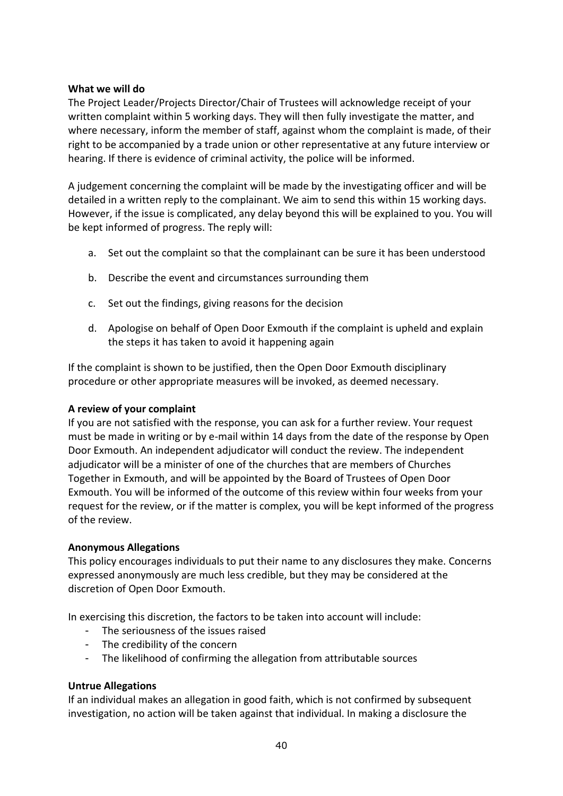### **What we will do**

The Project Leader/Projects Director/Chair of Trustees will acknowledge receipt of your written complaint within 5 working days. They will then fully investigate the matter, and where necessary, inform the member of staff, against whom the complaint is made, of their right to be accompanied by a trade union or other representative at any future interview or hearing. If there is evidence of criminal activity, the police will be informed.

A judgement concerning the complaint will be made by the investigating officer and will be detailed in a written reply to the complainant. We aim to send this within 15 working days. However, if the issue is complicated, any delay beyond this will be explained to you. You will be kept informed of progress. The reply will:

- a. Set out the complaint so that the complainant can be sure it has been understood
- b. Describe the event and circumstances surrounding them
- c. Set out the findings, giving reasons for the decision
- d. Apologise on behalf of Open Door Exmouth if the complaint is upheld and explain the steps it has taken to avoid it happening again

If the complaint is shown to be justified, then the Open Door Exmouth disciplinary procedure or other appropriate measures will be invoked, as deemed necessary.

### **A review of your complaint**

If you are not satisfied with the response, you can ask for a further review. Your request must be made in writing or by e-mail within 14 days from the date of the response by Open Door Exmouth. An independent adjudicator will conduct the review. The independent adjudicator will be a minister of one of the churches that are members of Churches Together in Exmouth, and will be appointed by the Board of Trustees of Open Door Exmouth. You will be informed of the outcome of this review within four weeks from your request for the review, or if the matter is complex, you will be kept informed of the progress of the review.

### **Anonymous Allegations**

This policy encourages individuals to put their name to any disclosures they make. Concerns expressed anonymously are much less credible, but they may be considered at the discretion of Open Door Exmouth.

In exercising this discretion, the factors to be taken into account will include:

- The seriousness of the issues raised
- The credibility of the concern
- The likelihood of confirming the allegation from attributable sources

### **Untrue Allegations**

If an individual makes an allegation in good faith, which is not confirmed by subsequent investigation, no action will be taken against that individual. In making a disclosure the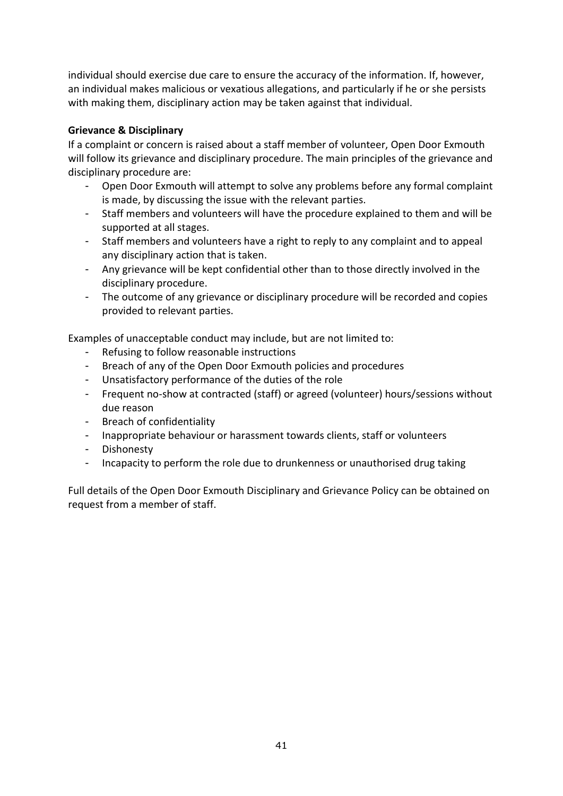individual should exercise due care to ensure the accuracy of the information. If, however, an individual makes malicious or vexatious allegations, and particularly if he or she persists with making them, disciplinary action may be taken against that individual.

### **Grievance & Disciplinary**

If a complaint or concern is raised about a staff member of volunteer, Open Door Exmouth will follow its grievance and disciplinary procedure. The main principles of the grievance and disciplinary procedure are:

- Open Door Exmouth will attempt to solve any problems before any formal complaint is made, by discussing the issue with the relevant parties.
- Staff members and volunteers will have the procedure explained to them and will be supported at all stages.
- Staff members and volunteers have a right to reply to any complaint and to appeal any disciplinary action that is taken.
- Any grievance will be kept confidential other than to those directly involved in the disciplinary procedure.
- The outcome of any grievance or disciplinary procedure will be recorded and copies provided to relevant parties.

Examples of unacceptable conduct may include, but are not limited to:

- Refusing to follow reasonable instructions
- Breach of any of the Open Door Exmouth policies and procedures
- Unsatisfactory performance of the duties of the role
- Frequent no-show at contracted (staff) or agreed (volunteer) hours/sessions without due reason
- Breach of confidentiality
- Inappropriate behaviour or harassment towards clients, staff or volunteers
- Dishonesty
- Incapacity to perform the role due to drunkenness or unauthorised drug taking

Full details of the Open Door Exmouth Disciplinary and Grievance Policy can be obtained on request from a member of staff.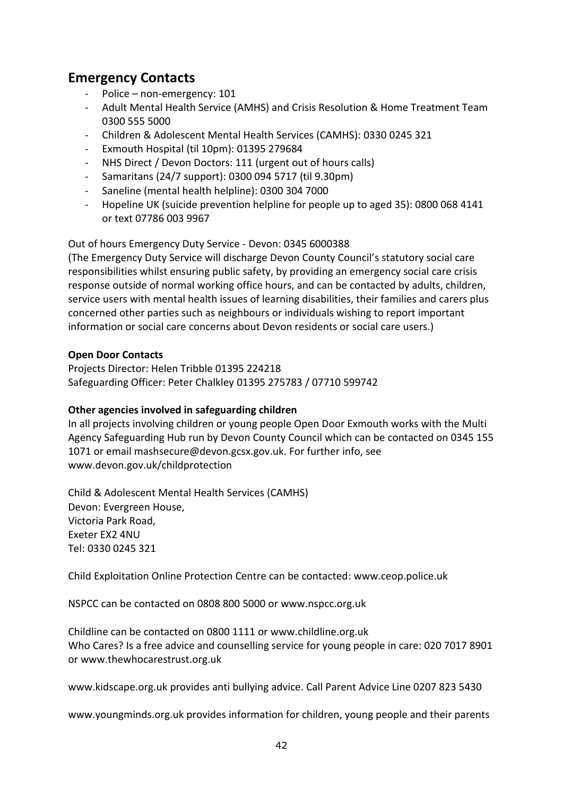# **Emergency Contacts**

- Police non-emergency: 101
- Adult Mental Health Service (AMHS) and Crisis Resolution & Home Treatment Team 0300 555 5000
- Children & Adolescent Mental Health Services (CAMHS): 0330 0245 321
- Exmouth Hospital (til 10pm): 01395 279684
- NHS Direct / Devon Doctors: 111 (urgent out of hours calls)
- Samaritans (24/7 support): 0300 094 5717 (til 9.30pm)
- Saneline (mental health helpline): 0300 304 7000
- Hopeline UK (suicide prevention helpline for people up to aged 35): 0800 068 4141 or text 07786 003 9967

### Out of hours Emergency Duty Service - Devon: 0345 6000388

(The Emergency Duty Service will discharge Devon County Council's statutory social care responsibilities whilst ensuring public safety, by providing an emergency social care crisis response outside of normal working office hours, and can be contacted by adults, children, service users with mental health issues of learning disabilities, their families and carers plus concerned other parties such as neighbours or individuals wishing to report important information or social care concerns about Devon residents or social care users.)

### **Open Door Contacts**

Projects Director: Helen Tribble 01395 224218 Safeguarding Officer: Peter Chalkley 01395 275783 / 07710 599742

### **Other agencies involved in safeguarding children**

In all projects involving children or young people Open Door Exmouth works with the Multi Agency Safeguarding Hub run by Devon County Council which can be contacted on 0345 155 1071 or email mashsecure@devon.gcsx.gov.uk. For further info, see [www.devon.gov.uk/childprotection](http://www.devon.gov.uk/childprotection)

Child & Adolescent Mental Health Services (CAMHS) Devon: Evergreen House, Victoria Park Road, Exeter EX2 4NU Tel: 0330 0245 321

Child Exploitation Online Protection Centre can be contacted: [www.ceop.police.uk](http://www.ceop.police.uk/)

NSPCC can be contacted on 0808 800 5000 or [www.nspcc.org.uk](http://www.nspcc.org.uk/)

Childline can be contacted on 0800 1111 or [www.childline.org.uk](http://www.childline.org.uk/) Who Cares? Is a free advice and counselling service for young people in care: 020 7017 8901 or [www.thewhocarestrust.org.uk](http://www.thewhocarestrust.org.uk/)

[www.kidscape.org.uk](http://www.kidscape.org.uk/) provides anti bullying advice. Call Parent Advice Line 0207 823 5430

[www.youngminds.org.uk](http://www.youngminds.org.uk/) provides information for children, young people and their parents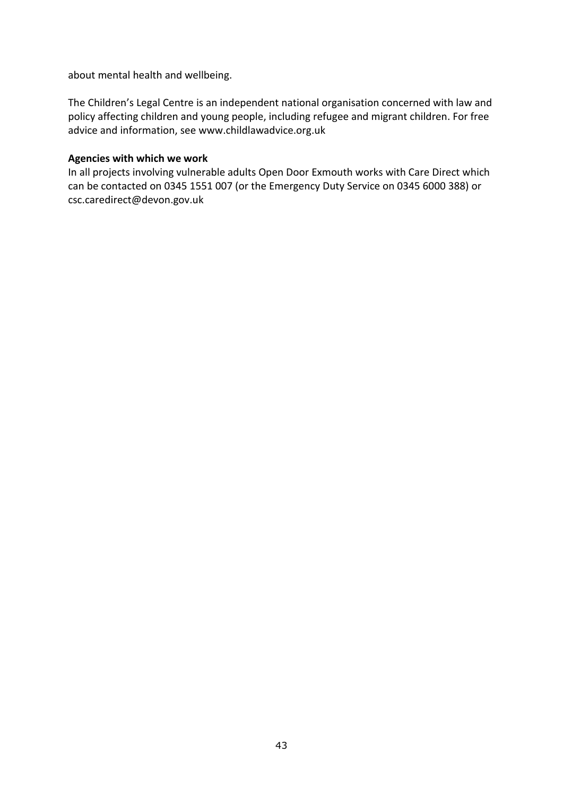about mental health and wellbeing.

The Children's Legal Centre is an independent national organisation concerned with law and policy affecting children and young people, including refugee and migrant children. For free advice and information, see www.childlawadvice.org.uk

### **Agencies with which we work**

In all projects involving vulnerable adults Open Door Exmouth works with Care Direct which can be contacted on 0345 1551 007 (or the Emergency Duty Service on 0345 6000 388) or [csc.caredirect@devon.gov.uk](mailto:csc.caredirect@devon.gov.uk)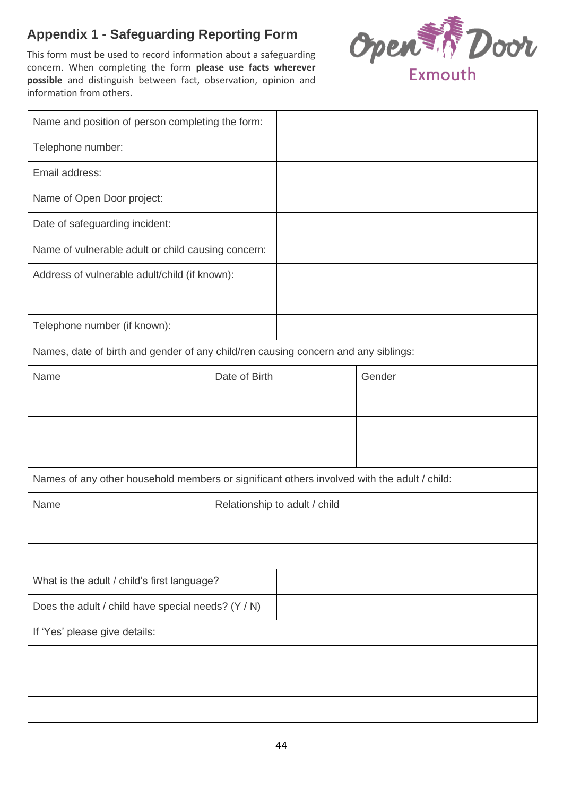# **Appendix 1 - Safeguarding Reporting Form**

This form must be used to record information about a safeguarding concern. When completing the form **please use facts wherever possible** and distinguish between fact, observation, opinion and information from others.



| Name and position of person completing the form:                                            |                               |  |        |  |
|---------------------------------------------------------------------------------------------|-------------------------------|--|--------|--|
| Telephone number:                                                                           |                               |  |        |  |
| Email address:                                                                              |                               |  |        |  |
| Name of Open Door project:                                                                  |                               |  |        |  |
| Date of safeguarding incident:                                                              |                               |  |        |  |
| Name of vulnerable adult or child causing concern:                                          |                               |  |        |  |
| Address of vulnerable adult/child (if known):                                               |                               |  |        |  |
|                                                                                             |                               |  |        |  |
| Telephone number (if known):                                                                |                               |  |        |  |
| Names, date of birth and gender of any child/ren causing concern and any siblings:          |                               |  |        |  |
| Name                                                                                        | Date of Birth                 |  | Gender |  |
|                                                                                             |                               |  |        |  |
|                                                                                             |                               |  |        |  |
|                                                                                             |                               |  |        |  |
| Names of any other household members or significant others involved with the adult / child: |                               |  |        |  |
| Name                                                                                        | Relationship to adult / child |  |        |  |
|                                                                                             |                               |  |        |  |
|                                                                                             |                               |  |        |  |
| What is the adult / child's first language?                                                 |                               |  |        |  |
| Does the adult / child have special needs? (Y / N)                                          |                               |  |        |  |
| If 'Yes' please give details:                                                               |                               |  |        |  |
|                                                                                             |                               |  |        |  |
|                                                                                             |                               |  |        |  |
|                                                                                             |                               |  |        |  |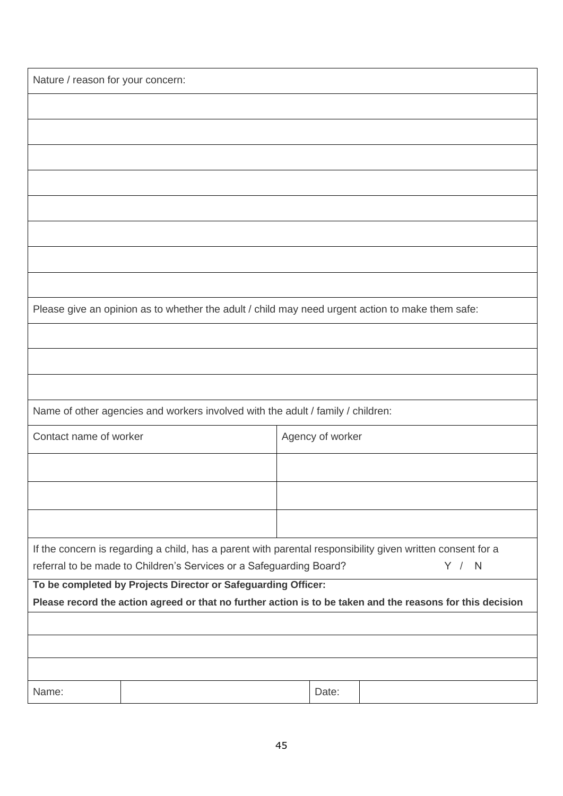| Nature / reason for your concern: |                                                                                                                                                                                   |                  |       |                                                                                                            |
|-----------------------------------|-----------------------------------------------------------------------------------------------------------------------------------------------------------------------------------|------------------|-------|------------------------------------------------------------------------------------------------------------|
|                                   |                                                                                                                                                                                   |                  |       |                                                                                                            |
|                                   |                                                                                                                                                                                   |                  |       |                                                                                                            |
|                                   |                                                                                                                                                                                   |                  |       |                                                                                                            |
|                                   |                                                                                                                                                                                   |                  |       |                                                                                                            |
|                                   |                                                                                                                                                                                   |                  |       |                                                                                                            |
|                                   |                                                                                                                                                                                   |                  |       |                                                                                                            |
|                                   |                                                                                                                                                                                   |                  |       |                                                                                                            |
|                                   |                                                                                                                                                                                   |                  |       |                                                                                                            |
|                                   | Please give an opinion as to whether the adult / child may need urgent action to make them safe:                                                                                  |                  |       |                                                                                                            |
|                                   |                                                                                                                                                                                   |                  |       |                                                                                                            |
|                                   |                                                                                                                                                                                   |                  |       |                                                                                                            |
|                                   |                                                                                                                                                                                   |                  |       |                                                                                                            |
|                                   | Name of other agencies and workers involved with the adult / family / children:                                                                                                   |                  |       |                                                                                                            |
| Contact name of worker            |                                                                                                                                                                                   | Agency of worker |       |                                                                                                            |
|                                   |                                                                                                                                                                                   |                  |       |                                                                                                            |
|                                   |                                                                                                                                                                                   |                  |       |                                                                                                            |
|                                   |                                                                                                                                                                                   |                  |       |                                                                                                            |
|                                   | If the concern is regarding a child, has a parent with parental responsibility given written consent for a<br>referral to be made to Children's Services or a Safeguarding Board? |                  |       | Y / N                                                                                                      |
|                                   | To be completed by Projects Director or Safeguarding Officer:                                                                                                                     |                  |       | Please record the action agreed or that no further action is to be taken and the reasons for this decision |
|                                   |                                                                                                                                                                                   |                  |       |                                                                                                            |
|                                   |                                                                                                                                                                                   |                  |       |                                                                                                            |
|                                   |                                                                                                                                                                                   |                  |       |                                                                                                            |
| Name:                             |                                                                                                                                                                                   |                  | Date: |                                                                                                            |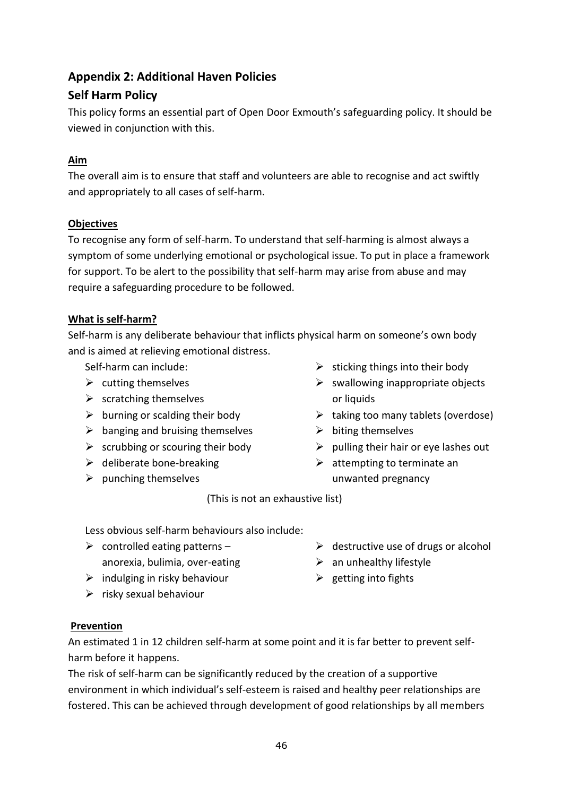# **Appendix 2: Additional Haven Policies**

# **Self Harm Policy**

This policy forms an essential part of Open Door Exmouth's safeguarding policy. It should be viewed in conjunction with this.

# **Aim**

The overall aim is to ensure that staff and volunteers are able to recognise and act swiftly and appropriately to all cases of self-harm.

# **Objectives**

To recognise any form of self-harm. To understand that self-harming is almost always a symptom of some underlying emotional or psychological issue. To put in place a framework for support. To be alert to the possibility that self-harm may arise from abuse and may require a safeguarding procedure to be followed.

# **What is self-harm?**

Self-harm is any deliberate behaviour that inflicts physical harm on someone's own body and is aimed at relieving emotional distress.

Self-harm can include:

- $\triangleright$  cutting themselves
- $\triangleright$  scratching themselves
- $\triangleright$  burning or scalding their body
- $\triangleright$  banging and bruising themselves
- $\triangleright$  scrubbing or scouring their body
- $\triangleright$  deliberate bone-breaking
- $\triangleright$  punching themselves
- $\triangleright$  sticking things into their body
- $\triangleright$  swallowing inappropriate objects or liquids
- $\triangleright$  taking too many tablets (overdose)
- $\triangleright$  biting themselves
- $\triangleright$  pulling their hair or eye lashes out
- $\triangleright$  attempting to terminate an unwanted pregnancy

(This is not an exhaustive list)

Less obvious self-harm behaviours also include:

- $\triangleright$  controlled eating patterns anorexia, bulimia, over-eating
- $\triangleright$  indulging in risky behaviour
- $\triangleright$  risky sexual behaviour
- $\triangleright$  destructive use of drugs or alcohol
- $\triangleright$  an unhealthy lifestyle
- $\triangleright$  getting into fights

### **Prevention**

An estimated 1 in 12 children self-harm at some point and it is far better to prevent selfharm before it happens.

The risk of self-harm can be significantly reduced by the creation of a supportive environment in which individual's self-esteem is raised and healthy peer relationships are fostered. This can be achieved through development of good relationships by all members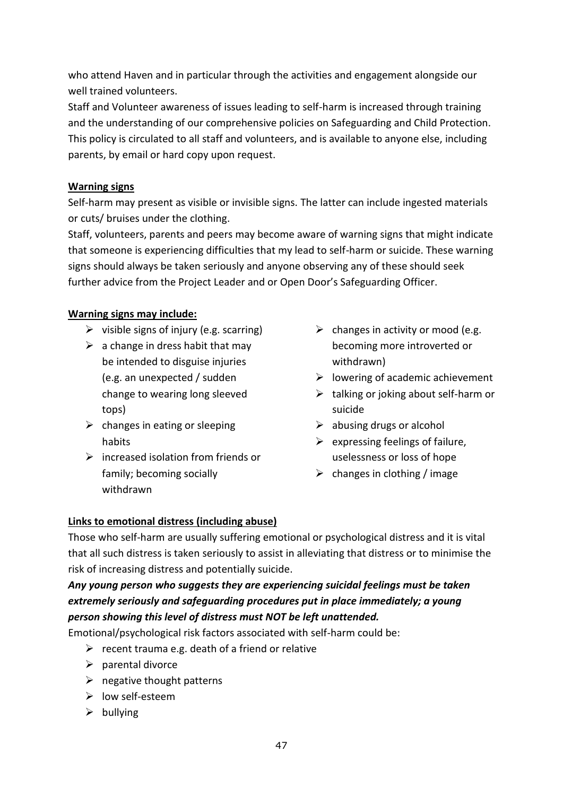who attend Haven and in particular through the activities and engagement alongside our well trained volunteers.

Staff and Volunteer awareness of issues leading to self-harm is increased through training and the understanding of our comprehensive policies on Safeguarding and Child Protection. This policy is circulated to all staff and volunteers, and is available to anyone else, including parents, by email or hard copy upon request.

### **Warning signs**

Self-harm may present as visible or invisible signs. The latter can include ingested materials or cuts/ bruises under the clothing.

Staff, volunteers, parents and peers may become aware of warning signs that might indicate that someone is experiencing difficulties that my lead to self-harm or suicide. These warning signs should always be taken seriously and anyone observing any of these should seek further advice from the Project Leader and or Open Door's Safeguarding Officer.

# **Warning signs may include:**

- $\triangleright$  visible signs of injury (e.g. scarring)
- $\triangleright$  a change in dress habit that may be intended to disguise injuries (e.g. an unexpected / sudden change to wearing long sleeved tops)
- $\triangleright$  changes in eating or sleeping habits
- $\triangleright$  increased isolation from friends or family; becoming socially withdrawn
- $\triangleright$  changes in activity or mood (e.g. becoming more introverted or withdrawn)
- $\triangleright$  lowering of academic achievement
- $\triangleright$  talking or joking about self-harm or suicide
- $\triangleright$  abusing drugs or alcohol
- $\triangleright$  expressing feelings of failure, uselessness or loss of hope
- $\triangleright$  changes in clothing / image

# **Links to emotional distress (including abuse)**

Those who self-harm are usually suffering emotional or psychological distress and it is vital that all such distress is taken seriously to assist in alleviating that distress or to minimise the risk of increasing distress and potentially suicide.

# *Any young person who suggests they are experiencing suicidal feelings must be taken extremely seriously and safeguarding procedures put in place immediately; a young person showing this level of distress must NOT be left unattended.*

Emotional/psychological risk factors associated with self-harm could be:

- $\triangleright$  recent trauma e.g. death of a friend or relative
- $\triangleright$  parental divorce
- $\triangleright$  negative thought patterns
- ➢ low self-esteem
- $\triangleright$  bullying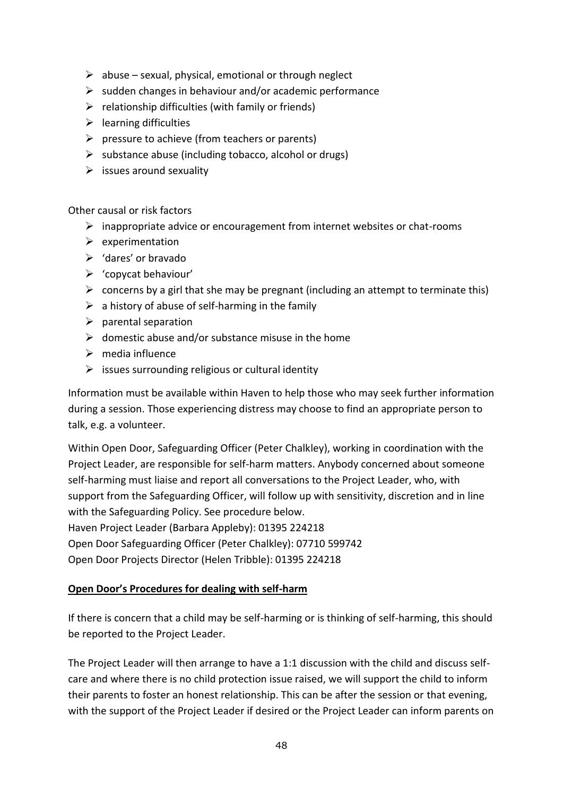- $\triangleright$  abuse sexual, physical, emotional or through neglect
- $\triangleright$  sudden changes in behaviour and/or academic performance
- $\triangleright$  relationship difficulties (with family or friends)
- $\triangleright$  learning difficulties
- $\triangleright$  pressure to achieve (from teachers or parents)
- $\triangleright$  substance abuse (including tobacco, alcohol or drugs)
- $\triangleright$  issues around sexuality

Other causal or risk factors

- ➢ inappropriate advice or encouragement from internet websites or chat-rooms
- $\triangleright$  experimentation
- ➢ 'dares' or bravado
- ➢ 'copycat behaviour'
- $\triangleright$  concerns by a girl that she may be pregnant (including an attempt to terminate this)
- $\triangleright$  a history of abuse of self-harming in the family
- $\triangleright$  parental separation
- $\triangleright$  domestic abuse and/or substance misuse in the home
- $\triangleright$  media influence
- $\triangleright$  issues surrounding religious or cultural identity

Information must be available within Haven to help those who may seek further information during a session. Those experiencing distress may choose to find an appropriate person to talk, e.g. a volunteer.

Within Open Door, Safeguarding Officer (Peter Chalkley), working in coordination with the Project Leader, are responsible for self-harm matters. Anybody concerned about someone self-harming must liaise and report all conversations to the Project Leader, who, with support from the Safeguarding Officer, will follow up with sensitivity, discretion and in line with the Safeguarding Policy. See procedure below. Haven Project Leader (Barbara Appleby): 01395 224218

Open Door Safeguarding Officer (Peter Chalkley): 07710 599742

Open Door Projects Director (Helen Tribble): 01395 224218

### **Open Door's Procedures for dealing with self-harm**

If there is concern that a child may be self-harming or is thinking of self-harming, this should be reported to the Project Leader.

The Project Leader will then arrange to have a 1:1 discussion with the child and discuss selfcare and where there is no child protection issue raised, we will support the child to inform their parents to foster an honest relationship. This can be after the session or that evening, with the support of the Project Leader if desired or the Project Leader can inform parents on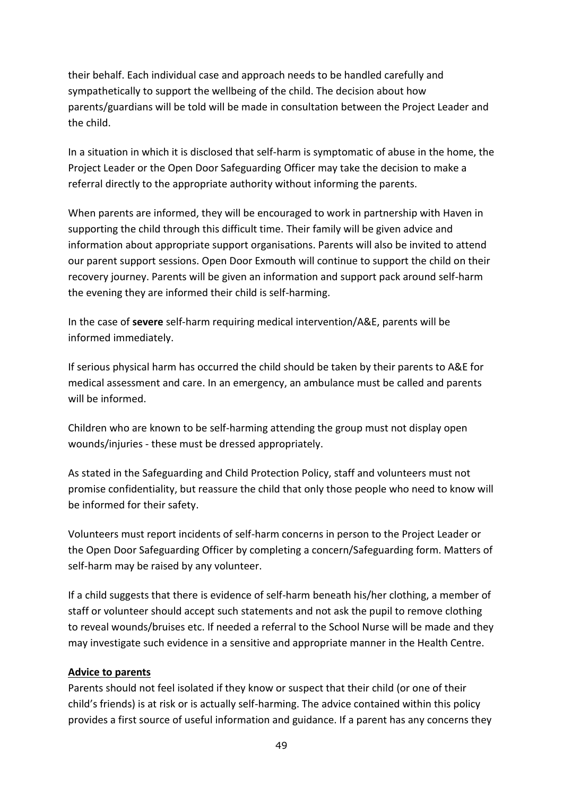their behalf. Each individual case and approach needs to be handled carefully and sympathetically to support the wellbeing of the child. The decision about how parents/guardians will be told will be made in consultation between the Project Leader and the child.

In a situation in which it is disclosed that self-harm is symptomatic of abuse in the home, the Project Leader or the Open Door Safeguarding Officer may take the decision to make a referral directly to the appropriate authority without informing the parents.

When parents are informed, they will be encouraged to work in partnership with Haven in supporting the child through this difficult time. Their family will be given advice and information about appropriate support organisations. Parents will also be invited to attend our parent support sessions. Open Door Exmouth will continue to support the child on their recovery journey. Parents will be given an information and support pack around self-harm the evening they are informed their child is self-harming.

In the case of **severe** self-harm requiring medical intervention/A&E, parents will be informed immediately.

If serious physical harm has occurred the child should be taken by their parents to A&E for medical assessment and care. In an emergency, an ambulance must be called and parents will be informed.

Children who are known to be self-harming attending the group must not display open wounds/injuries - these must be dressed appropriately.

As stated in the Safeguarding and Child Protection Policy, staff and volunteers must not promise confidentiality, but reassure the child that only those people who need to know will be informed for their safety.

Volunteers must report incidents of self-harm concerns in person to the Project Leader or the Open Door Safeguarding Officer by completing a concern/Safeguarding form. Matters of self-harm may be raised by any volunteer.

If a child suggests that there is evidence of self-harm beneath his/her clothing, a member of staff or volunteer should accept such statements and not ask the pupil to remove clothing to reveal wounds/bruises etc. If needed a referral to the School Nurse will be made and they may investigate such evidence in a sensitive and appropriate manner in the Health Centre.

### **Advice to parents**

Parents should not feel isolated if they know or suspect that their child (or one of their child's friends) is at risk or is actually self-harming. The advice contained within this policy provides a first source of useful information and guidance. If a parent has any concerns they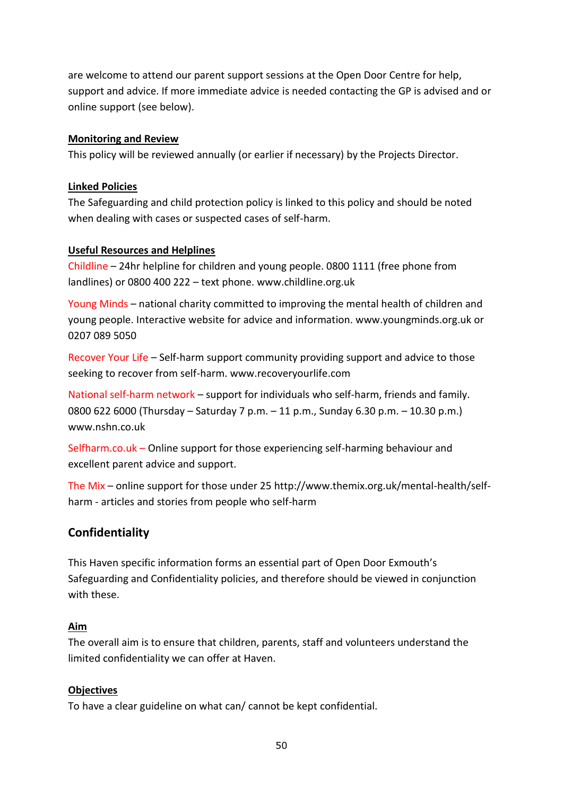are welcome to attend our parent support sessions at the Open Door Centre for help, support and advice. If more immediate advice is needed contacting the GP is advised and or online support (see below).

### **Monitoring and Review**

This policy will be reviewed annually (or earlier if necessary) by the Projects Director.

### **Linked Policies**

The Safeguarding and child protection policy is linked to this policy and should be noted when dealing with cases or suspected cases of self-harm.

### **Useful Resources and Helplines**

Childline – 24hr helpline for children and young people. 0800 1111 (free phone from landlines) or 0800 400 222 – text phone. www.childline.org.uk

Young Minds – national charity committed to improving the mental health of children and young people. Interactive website for advice and information. [www.youngminds.org.uk](http://www.youngminds.org.uk/) or 0207 089 5050

Recover Your Life – Self-harm support community providing support and advice to those seeking to recover from self-harm. www.recoveryourlife.com

National self-harm network – support for individuals who self-harm, friends and family. 0800 622 6000 (Thursday – Saturday 7 p.m. – 11 p.m., Sunday 6.30 p.m. – 10.30 p.m.) www.nshn.co.uk

Selfharm.co.uk – Online support for those experiencing self-harming behaviour and excellent parent advice and support.

The Mix – online support for those under 25 [http://www.themix.org.uk/mental-health/self](http://www.themix.org.uk/mental-health/self-harm)[harm](http://www.themix.org.uk/mental-health/self-harm) - articles and stories from people who self-harm

# **Confidentiality**

This Haven specific information forms an essential part of Open Door Exmouth's Safeguarding and Confidentiality policies, and therefore should be viewed in conjunction with these.

### **Aim**

The overall aim is to ensure that children, parents, staff and volunteers understand the limited confidentiality we can offer at Haven.

### **Objectives**

To have a clear guideline on what can/ cannot be kept confidential.